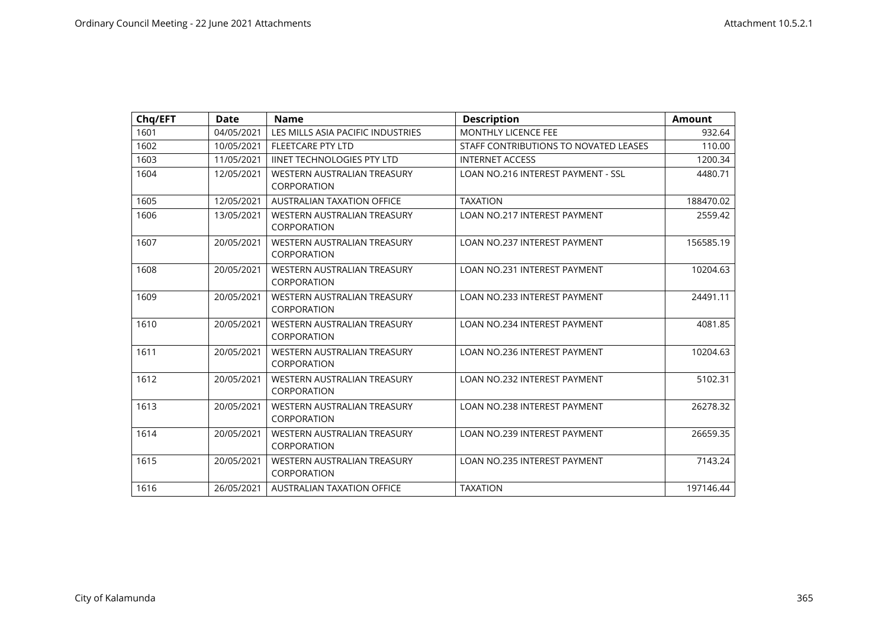| Chq/EFT | <b>Date</b> | <b>Name</b>                                       | <b>Description</b>                        | <b>Amount</b> |
|---------|-------------|---------------------------------------------------|-------------------------------------------|---------------|
| 1601    | 04/05/2021  | LES MILLS ASIA PACIFIC INDUSTRIES                 | <b>MONTHLY LICENCE FEE</b>                | 932.64        |
| 1602    | 10/05/2021  | <b>FLEETCARE PTY LTD</b>                          | STAFF CONTRIBUTIONS TO NOVATED LEASES     | 110.00        |
| 1603    | 11/05/2021  | <b>IINET TECHNOLOGIES PTY LTD</b>                 | <b>INTERNET ACCESS</b>                    | 1200.34       |
| 1604    | 12/05/2021  | WESTERN AUSTRALIAN TREASURY<br>CORPORATION        | <b>LOAN NO.216 INTEREST PAYMENT - SSL</b> | 4480.71       |
| 1605    | 12/05/2021  | <b>AUSTRALIAN TAXATION OFFICE</b>                 | <b>TAXATION</b>                           | 188470.02     |
| 1606    | 13/05/2021  | WESTERN AUSTRALIAN TREASURY<br>CORPORATION        | <b>LOAN NO.217 INTEREST PAYMENT</b>       | 2559.42       |
| 1607    | 20/05/2021  | WESTERN AUSTRALIAN TREASURY<br>CORPORATION        | <b>LOAN NO.237 INTEREST PAYMENT</b>       | 156585.19     |
| 1608    | 20/05/2021  | <b>WESTERN AUSTRALIAN TREASURY</b><br>CORPORATION | <b>LOAN NO.231 INTEREST PAYMENT</b>       | 10204.63      |
| 1609    | 20/05/2021  | WESTERN AUSTRALIAN TREASURY<br>CORPORATION        | <b>LOAN NO.233 INTEREST PAYMENT</b>       | 24491.11      |
| 1610    | 20/05/2021  | WESTERN AUSTRALIAN TREASURY<br>CORPORATION        | <b>LOAN NO.234 INTEREST PAYMENT</b>       | 4081.85       |
| 1611    | 20/05/2021  | <b>WESTERN AUSTRALIAN TREASURY</b><br>CORPORATION | <b>LOAN NO.236 INTEREST PAYMENT</b>       | 10204.63      |
| 1612    | 20/05/2021  | WESTERN AUSTRALIAN TREASURY<br>CORPORATION        | <b>LOAN NO.232 INTEREST PAYMENT</b>       | 5102.31       |
| 1613    | 20/05/2021  | WESTERN AUSTRALIAN TREASURY<br>CORPORATION        | <b>LOAN NO.238 INTEREST PAYMENT</b>       | 26278.32      |
| 1614    | 20/05/2021  | <b>WESTERN AUSTRALIAN TREASURY</b><br>CORPORATION | <b>LOAN NO.239 INTEREST PAYMENT</b>       | 26659.35      |
| 1615    | 20/05/2021  | <b>WESTERN AUSTRALIAN TREASURY</b><br>CORPORATION | <b>LOAN NO.235 INTEREST PAYMENT</b>       | 7143.24       |
| 1616    | 26/05/2021  | AUSTRALIAN TAXATION OFFICE                        | <b>TAXATION</b>                           | 197146.44     |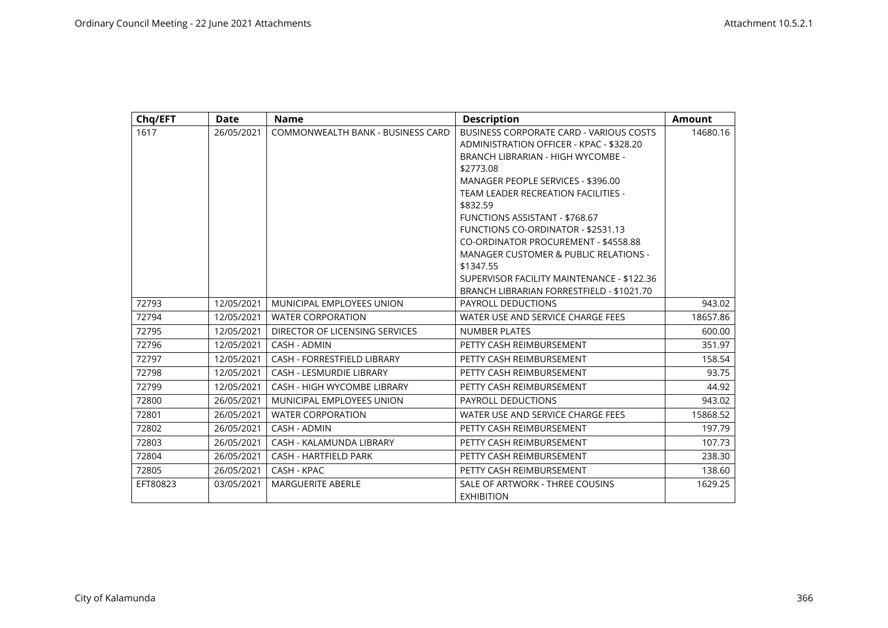| Chq/EFT  | Date       | <b>Name</b>                        | <b>Description</b>                                                                                                                                                                                                                                                                                                                                                                                                                                                                                                                     | <b>Amount</b> |
|----------|------------|------------------------------------|----------------------------------------------------------------------------------------------------------------------------------------------------------------------------------------------------------------------------------------------------------------------------------------------------------------------------------------------------------------------------------------------------------------------------------------------------------------------------------------------------------------------------------------|---------------|
| 1617     | 26/05/2021 | COMMONWEALTH BANK - BUSINESS CARD  | BUSINESS CORPORATE CARD - VARIOUS COSTS<br>ADMINISTRATION OFFICER - KPAC - \$328.20<br><b>BRANCH LIBRARIAN - HIGH WYCOMBE -</b><br>\$2773.08<br>MANAGER PEOPLE SERVICES - \$396.00<br><b>TEAM LEADER RECREATION FACILITIES -</b><br>\$832.59<br><b>FUNCTIONS ASSISTANT - \$768.67</b><br><b>FUNCTIONS CO-ORDINATOR - \$2531.13</b><br>CO-ORDINATOR PROCUREMENT - \$4558.88<br><b>MANAGER CUSTOMER &amp; PUBLIC RELATIONS -</b><br>\$1347.55<br>SUPERVISOR FACILITY MAINTENANCE - \$122.36<br>BRANCH LIBRARIAN FORRESTFIELD - \$1021.70 | 14680.16      |
| 72793    | 12/05/2021 | MUNICIPAL EMPLOYEES UNION          | <b>PAYROLL DEDUCTIONS</b>                                                                                                                                                                                                                                                                                                                                                                                                                                                                                                              | 943.02        |
| 72794    | 12/05/2021 | <b>WATER CORPORATION</b>           | WATER USE AND SERVICE CHARGE FEES                                                                                                                                                                                                                                                                                                                                                                                                                                                                                                      | 18657.86      |
| 72795    | 12/05/2021 | DIRECTOR OF LICENSING SERVICES     | <b>NUMBER PLATES</b>                                                                                                                                                                                                                                                                                                                                                                                                                                                                                                                   | 600.00        |
| 72796    | 12/05/2021 | CASH - ADMIN                       | PETTY CASH REIMBURSEMENT                                                                                                                                                                                                                                                                                                                                                                                                                                                                                                               | 351.97        |
| 72797    | 12/05/2021 | <b>CASH - FORRESTFIELD LIBRARY</b> | PETTY CASH REIMBURSEMENT                                                                                                                                                                                                                                                                                                                                                                                                                                                                                                               | 158.54        |
| 72798    | 12/05/2021 | <b>CASH - LESMURDIE LIBRARY</b>    | PETTY CASH REIMBURSEMENT                                                                                                                                                                                                                                                                                                                                                                                                                                                                                                               | 93.75         |
| 72799    | 12/05/2021 | CASH - HIGH WYCOMBE LIBRARY        | PETTY CASH REIMBURSEMENT                                                                                                                                                                                                                                                                                                                                                                                                                                                                                                               | 44.92         |
| 72800    | 26/05/2021 | MUNICIPAL EMPLOYEES UNION          | <b>PAYROLL DEDUCTIONS</b>                                                                                                                                                                                                                                                                                                                                                                                                                                                                                                              | 943.02        |
| 72801    | 26/05/2021 | <b>WATER CORPORATION</b>           | WATER USE AND SERVICE CHARGE FEES                                                                                                                                                                                                                                                                                                                                                                                                                                                                                                      | 15868.52      |
| 72802    | 26/05/2021 | CASH - ADMIN                       | PETTY CASH REIMBURSEMENT                                                                                                                                                                                                                                                                                                                                                                                                                                                                                                               | 197.79        |
| 72803    | 26/05/2021 | CASH - KALAMUNDA LIBRARY           | PETTY CASH REIMBURSEMENT                                                                                                                                                                                                                                                                                                                                                                                                                                                                                                               | 107.73        |
| 72804    | 26/05/2021 | CASH - HARTFIELD PARK              | PETTY CASH REIMBURSEMENT                                                                                                                                                                                                                                                                                                                                                                                                                                                                                                               | 238.30        |
| 72805    | 26/05/2021 | CASH - KPAC                        | PETTY CASH REIMBURSEMENT                                                                                                                                                                                                                                                                                                                                                                                                                                                                                                               | 138.60        |
| EFT80823 | 03/05/2021 | <b>MARGUERITE ABERLE</b>           | SALE OF ARTWORK - THREE COUSINS<br><b>EXHIBITION</b>                                                                                                                                                                                                                                                                                                                                                                                                                                                                                   | 1629.25       |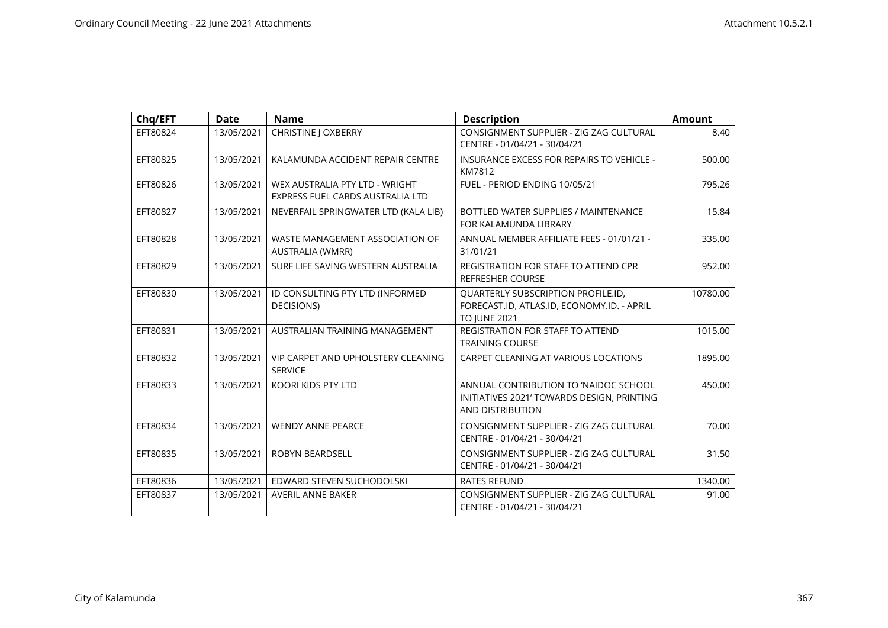| Chq/EFT  | <b>Date</b> | <b>Name</b>                                                        | <b>Description</b>                                                                                      | <b>Amount</b> |
|----------|-------------|--------------------------------------------------------------------|---------------------------------------------------------------------------------------------------------|---------------|
| EFT80824 | 13/05/2021  | <b>CHRISTINE   OXBERRY</b>                                         | CONSIGNMENT SUPPLIER - ZIG ZAG CULTURAL<br>CENTRE - 01/04/21 - 30/04/21                                 | 8.40          |
| EFT80825 | 13/05/2021  | KALAMUNDA ACCIDENT REPAIR CENTRE                                   | <b>INSURANCE EXCESS FOR REPAIRS TO VEHICLE -</b><br>KM7812                                              | 500.00        |
| EFT80826 | 13/05/2021  | WEX AUSTRALIA PTY LTD - WRIGHT<br>EXPRESS FUEL CARDS AUSTRALIA LTD | FUEL - PERIOD ENDING 10/05/21                                                                           | 795.26        |
| EFT80827 | 13/05/2021  | NEVERFAIL SPRINGWATER LTD (KALA LIB)                               | BOTTLED WATER SUPPLIES / MAINTENANCE<br>FOR KALAMUNDA LIBRARY                                           | 15.84         |
| EFT80828 | 13/05/2021  | WASTE MANAGEMENT ASSOCIATION OF<br>AUSTRALIA (WMRR)                | ANNUAL MEMBER AFFILIATE FEES - 01/01/21 -<br>31/01/21                                                   | 335.00        |
| EFT80829 | 13/05/2021  | SURF LIFE SAVING WESTERN AUSTRALIA                                 | REGISTRATION FOR STAFF TO ATTEND CPR<br><b>REFRESHER COURSE</b>                                         | 952.00        |
| EFT80830 | 13/05/2021  | ID CONSULTING PTY LTD (INFORMED<br>DECISIONS)                      | QUARTERLY SUBSCRIPTION PROFILE.ID,<br>FORECAST.ID, ATLAS.ID, ECONOMY.ID. - APRIL<br><b>TO JUNE 2021</b> | 10780.00      |
| EFT80831 | 13/05/2021  | AUSTRALIAN TRAINING MANAGEMENT                                     | REGISTRATION FOR STAFF TO ATTEND<br><b>TRAINING COURSE</b>                                              | 1015.00       |
| EFT80832 | 13/05/2021  | VIP CARPET AND UPHOLSTERY CLEANING<br><b>SERVICE</b>               | CARPET CLEANING AT VARIOUS LOCATIONS                                                                    | 1895.00       |
| EFT80833 | 13/05/2021  | <b>KOORI KIDS PTY LTD</b>                                          | ANNUAL CONTRIBUTION TO 'NAIDOC SCHOOL<br>INITIATIVES 2021' TOWARDS DESIGN, PRINTING<br>AND DISTRIBUTION | 450.00        |
| EFT80834 | 13/05/2021  | <b>WENDY ANNE PEARCE</b>                                           | CONSIGNMENT SUPPLIER - ZIG ZAG CULTURAL<br>CENTRE - 01/04/21 - 30/04/21                                 | 70.00         |
| EFT80835 | 13/05/2021  | <b>ROBYN BEARDSELL</b>                                             | CONSIGNMENT SUPPLIER - ZIG ZAG CULTURAL<br>CENTRE - 01/04/21 - 30/04/21                                 | 31.50         |
| EFT80836 | 13/05/2021  | EDWARD STEVEN SUCHODOLSKI                                          | <b>RATES REFUND</b>                                                                                     | 1340.00       |
| EFT80837 | 13/05/2021  | <b>AVERIL ANNE BAKER</b>                                           | CONSIGNMENT SUPPLIER - ZIG ZAG CULTURAL<br>CENTRE - 01/04/21 - 30/04/21                                 | 91.00         |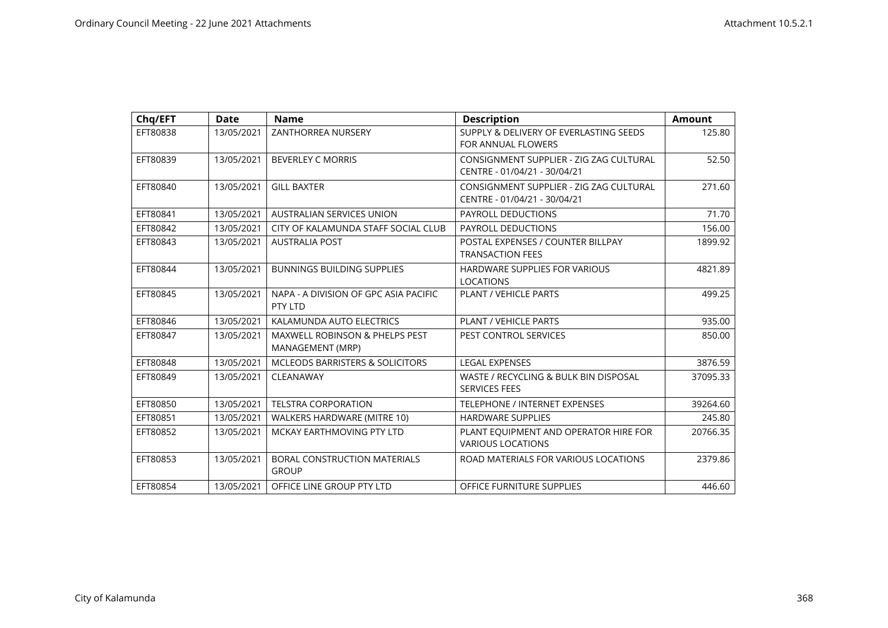| Chq/EFT  | <b>Date</b> | <b>Name</b>                                                   | <b>Description</b>                                                      | <b>Amount</b> |
|----------|-------------|---------------------------------------------------------------|-------------------------------------------------------------------------|---------------|
| EFT80838 | 13/05/2021  | ZANTHORREA NURSERY                                            | SUPPLY & DELIVERY OF EVERLASTING SEEDS<br>FOR ANNUAL FLOWERS            | 125.80        |
| EFT80839 | 13/05/2021  | <b>BEVERLEY C MORRIS</b>                                      | CONSIGNMENT SUPPLIER - ZIG ZAG CULTURAL<br>CENTRE - 01/04/21 - 30/04/21 | 52.50         |
| EFT80840 | 13/05/2021  | <b>GILL BAXTER</b>                                            | CONSIGNMENT SUPPLIER - ZIG ZAG CULTURAL<br>CENTRE - 01/04/21 - 30/04/21 | 271.60        |
| EFT80841 | 13/05/2021  | AUSTRALIAN SERVICES UNION                                     | <b>PAYROLL DEDUCTIONS</b>                                               | 71.70         |
| EFT80842 | 13/05/2021  | CITY OF KALAMUNDA STAFF SOCIAL CLUB                           | <b>PAYROLL DEDUCTIONS</b>                                               | 156.00        |
| EFT80843 | 13/05/2021  | <b>AUSTRALIA POST</b>                                         | POSTAL EXPENSES / COUNTER BILLPAY<br><b>TRANSACTION FEES</b>            | 1899.92       |
| EFT80844 | 13/05/2021  | <b>BUNNINGS BUILDING SUPPLIES</b>                             | <b>HARDWARE SUPPLIES FOR VARIOUS</b><br><b>LOCATIONS</b>                | 4821.89       |
| EFT80845 | 13/05/2021  | NAPA - A DIVISION OF GPC ASIA PACIFIC<br>PTY LTD              | PLANT / VEHICLE PARTS                                                   | 499.25        |
| EFT80846 | 13/05/2021  | KALAMUNDA AUTO ELECTRICS                                      | PLANT / VEHICLE PARTS                                                   | 935.00        |
| EFT80847 | 13/05/2021  | <b>MAXWELL ROBINSON &amp; PHELPS PEST</b><br>MANAGEMENT (MRP) | PEST CONTROL SERVICES                                                   | 850.00        |
| EFT80848 | 13/05/2021  | <b>MCLEODS BARRISTERS &amp; SOLICITORS</b>                    | <b>LEGAL EXPENSES</b>                                                   | 3876.59       |
| EFT80849 | 13/05/2021  | CLEANAWAY                                                     | WASTE / RECYCLING & BULK BIN DISPOSAL<br><b>SERVICES FEES</b>           | 37095.33      |
| EFT80850 | 13/05/2021  | <b>TELSTRA CORPORATION</b>                                    | TELEPHONE / INTERNET EXPENSES                                           | 39264.60      |
| EFT80851 | 13/05/2021  | WALKERS HARDWARE (MITRE 10)                                   | <b>HARDWARE SUPPLIES</b>                                                | 245.80        |
| EFT80852 | 13/05/2021  | MCKAY EARTHMOVING PTY LTD                                     | PLANT EQUIPMENT AND OPERATOR HIRE FOR<br><b>VARIOUS LOCATIONS</b>       | 20766.35      |
| EFT80853 | 13/05/2021  | <b>BORAL CONSTRUCTION MATERIALS</b><br><b>GROUP</b>           | ROAD MATERIALS FOR VARIOUS LOCATIONS                                    | 2379.86       |
| EFT80854 | 13/05/2021  | OFFICE LINE GROUP PTY LTD                                     | OFFICE FURNITURE SUPPLIES                                               | 446.60        |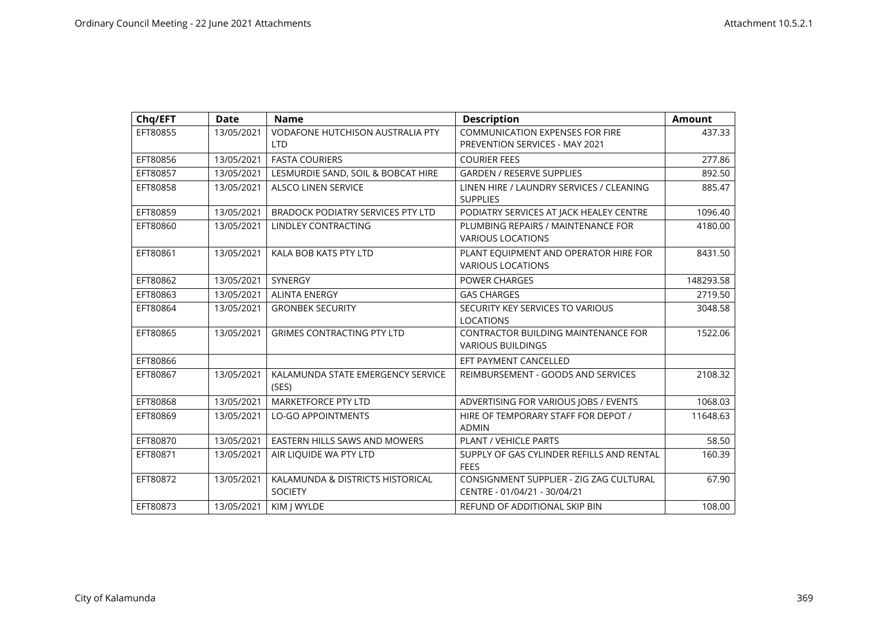| Chq/EFT  | <b>Date</b> | <b>Name</b>                                           | <b>Description</b>                                                       | <b>Amount</b> |
|----------|-------------|-------------------------------------------------------|--------------------------------------------------------------------------|---------------|
| EFT80855 | 13/05/2021  | <b>VODAFONE HUTCHISON AUSTRALIA PTY</b><br><b>LTD</b> | <b>COMMUNICATION EXPENSES FOR FIRE</b><br>PREVENTION SERVICES - MAY 2021 | 437.33        |
| EFT80856 | 13/05/2021  | <b>FASTA COURIERS</b>                                 | <b>COURIER FEES</b>                                                      | 277.86        |
| EFT80857 | 13/05/2021  | LESMURDIE SAND, SOIL & BOBCAT HIRE                    | <b>GARDEN / RESERVE SUPPLIES</b>                                         | 892.50        |
| EFT80858 | 13/05/2021  | <b>ALSCO LINEN SERVICE</b>                            | LINEN HIRE / LAUNDRY SERVICES / CLEANING<br><b>SUPPLIES</b>              | 885.47        |
| EFT80859 | 13/05/2021  | <b>BRADOCK PODIATRY SERVICES PTY LTD</b>              | PODIATRY SERVICES AT JACK HEALEY CENTRE                                  | 1096.40       |
| EFT80860 | 13/05/2021  | LINDLEY CONTRACTING                                   | PLUMBING REPAIRS / MAINTENANCE FOR<br><b>VARIOUS LOCATIONS</b>           | 4180.00       |
| EFT80861 | 13/05/2021  | KALA BOB KATS PTY LTD                                 | PLANT EQUIPMENT AND OPERATOR HIRE FOR<br><b>VARIOUS LOCATIONS</b>        | 8431.50       |
| EFT80862 | 13/05/2021  | SYNERGY                                               | POWER CHARGES                                                            | 148293.58     |
| EFT80863 | 13/05/2021  | <b>ALINTA ENERGY</b>                                  | <b>GAS CHARGES</b>                                                       | 2719.50       |
| EFT80864 | 13/05/2021  | <b>GRONBEK SECURITY</b>                               | SECURITY KEY SERVICES TO VARIOUS<br><b>LOCATIONS</b>                     | 3048.58       |
| EFT80865 | 13/05/2021  | <b>GRIMES CONTRACTING PTY LTD</b>                     | <b>CONTRACTOR BUILDING MAINTENANCE FOR</b><br><b>VARIOUS BUILDINGS</b>   | 1522.06       |
| EFT80866 |             |                                                       | EFT PAYMENT CANCELLED                                                    |               |
| EFT80867 | 13/05/2021  | KALAMUNDA STATE EMERGENCY SERVICE<br>(SES)            | REIMBURSEMENT - GOODS AND SERVICES                                       | 2108.32       |
| EFT80868 | 13/05/2021  | <b>MARKETFORCE PTY LTD</b>                            | ADVERTISING FOR VARIOUS JOBS / EVENTS                                    | 1068.03       |
| EFT80869 | 13/05/2021  | <b>LO-GO APPOINTMENTS</b>                             | HIRE OF TEMPORARY STAFF FOR DEPOT /<br><b>ADMIN</b>                      | 11648.63      |
| EFT80870 | 13/05/2021  | EASTERN HILLS SAWS AND MOWERS                         | PLANT / VEHICLE PARTS                                                    | 58.50         |
| EFT80871 | 13/05/2021  | AIR LIQUIDE WA PTY LTD                                | SUPPLY OF GAS CYLINDER REFILLS AND RENTAL<br><b>FFFS</b>                 | 160.39        |
| EFT80872 | 13/05/2021  | KALAMUNDA & DISTRICTS HISTORICAL<br><b>SOCIETY</b>    | CONSIGNMENT SUPPLIER - ZIG ZAG CULTURAL<br>CENTRE - 01/04/21 - 30/04/21  | 67.90         |
| EFT80873 | 13/05/2021  | KIM J WYLDE                                           | REFUND OF ADDITIONAL SKIP BIN                                            | 108.00        |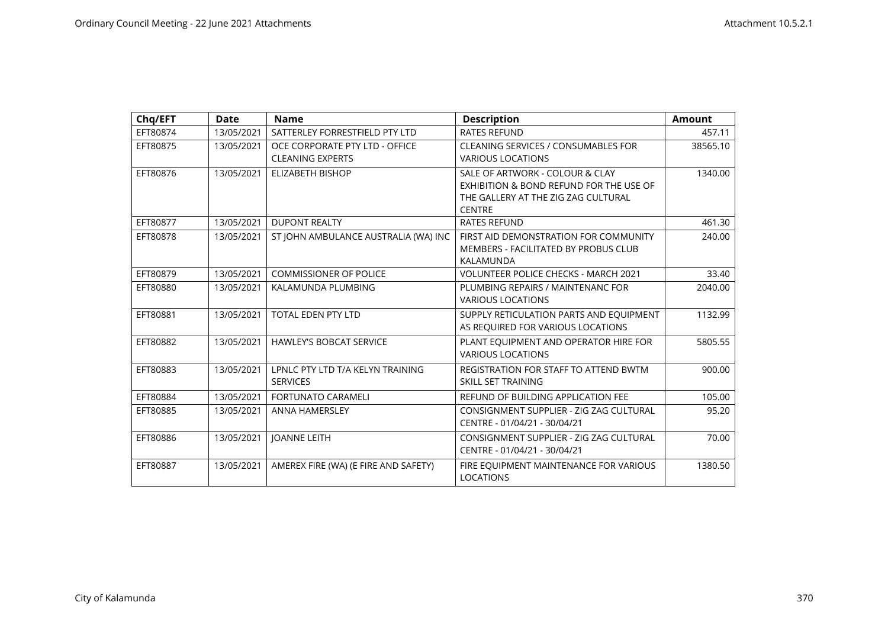| Chq/EFT  | <b>Date</b> | <b>Name</b>                          | <b>Description</b>                           | <b>Amount</b> |
|----------|-------------|--------------------------------------|----------------------------------------------|---------------|
| EFT80874 | 13/05/2021  | SATTERLEY FORRESTFIELD PTY LTD       | <b>RATES REFUND</b>                          | 457.11        |
| EFT80875 | 13/05/2021  | OCE CORPORATE PTY LTD - OFFICE       | <b>CLEANING SERVICES / CONSUMABLES FOR</b>   | 38565.10      |
|          |             | <b>CLEANING EXPERTS</b>              | <b>VARIOUS LOCATIONS</b>                     |               |
| EFT80876 | 13/05/2021  | <b>ELIZABETH BISHOP</b>              | SALE OF ARTWORK - COLOUR & CLAY              | 1340.00       |
|          |             |                                      | EXHIBITION & BOND REFUND FOR THE USE OF      |               |
|          |             |                                      | THE GALLERY AT THE ZIG ZAG CULTURAL          |               |
|          |             |                                      | <b>CENTRE</b>                                |               |
| EFT80877 | 13/05/2021  | <b>DUPONT REALTY</b>                 | <b>RATES REFUND</b>                          | 461.30        |
| EFT80878 | 13/05/2021  | ST JOHN AMBULANCE AUSTRALIA (WA) INC | FIRST AID DEMONSTRATION FOR COMMUNITY        | 240.00        |
|          |             |                                      | MEMBERS - FACILITATED BY PROBUS CLUB         |               |
|          |             |                                      | KALAMUNDA                                    |               |
| EFT80879 | 13/05/2021  | <b>COMMISSIONER OF POLICE</b>        | <b>VOLUNTEER POLICE CHECKS - MARCH 2021</b>  | 33.40         |
| EFT80880 | 13/05/2021  | KALAMUNDA PLUMBING                   | PLUMBING REPAIRS / MAINTENANC FOR            | 2040.00       |
|          |             |                                      | <b>VARIOUS LOCATIONS</b>                     |               |
| EFT80881 | 13/05/2021  | <b>TOTAL EDEN PTY LTD</b>            | SUPPLY RETICULATION PARTS AND EQUIPMENT      | 1132.99       |
|          |             |                                      | AS REQUIRED FOR VARIOUS LOCATIONS            |               |
| EFT80882 | 13/05/2021  | <b>HAWLEY'S BOBCAT SERVICE</b>       | PLANT EQUIPMENT AND OPERATOR HIRE FOR        | 5805.55       |
|          |             |                                      | <b>VARIOUS LOCATIONS</b>                     |               |
| EFT80883 | 13/05/2021  | LPNLC PTY LTD T/A KELYN TRAINING     | <b>REGISTRATION FOR STAFF TO ATTEND BWTM</b> | 900.00        |
|          |             | <b>SERVICES</b>                      | SKILL SET TRAINING                           |               |
| EFT80884 | 13/05/2021  | <b>FORTUNATO CARAMELI</b>            | REFUND OF BUILDING APPLICATION FEE           | 105.00        |
| EFT80885 | 13/05/2021  | <b>ANNA HAMERSLEY</b>                | CONSIGNMENT SUPPLIER - ZIG ZAG CULTURAL      | 95.20         |
|          |             |                                      | CENTRE - 01/04/21 - 30/04/21                 |               |
| EFT80886 | 13/05/2021  | <b>JOANNE LEITH</b>                  | CONSIGNMENT SUPPLIER - ZIG ZAG CULTURAL      | 70.00         |
|          |             |                                      | CENTRE - 01/04/21 - 30/04/21                 |               |
| EFT80887 | 13/05/2021  | AMEREX FIRE (WA) (E FIRE AND SAFETY) | FIRE EQUIPMENT MAINTENANCE FOR VARIOUS       | 1380.50       |
|          |             |                                      | <b>LOCATIONS</b>                             |               |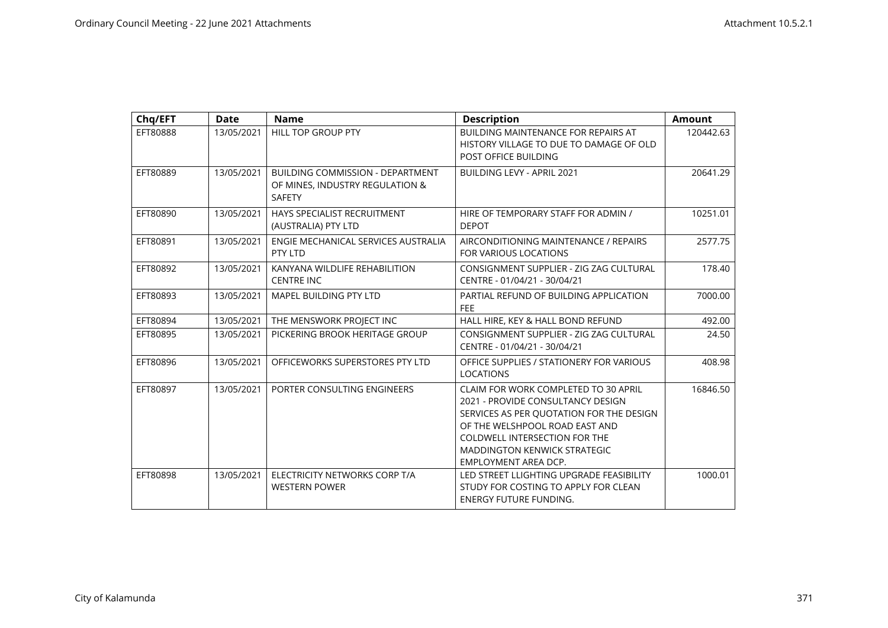| Chq/EFT  | <b>Date</b> | <b>Name</b>                                                                                 | <b>Description</b>                                                                                                                                                                                                                                             | <b>Amount</b> |
|----------|-------------|---------------------------------------------------------------------------------------------|----------------------------------------------------------------------------------------------------------------------------------------------------------------------------------------------------------------------------------------------------------------|---------------|
| EFT80888 | 13/05/2021  | HILL TOP GROUP PTY                                                                          | BUILDING MAINTENANCE FOR REPAIRS AT<br>HISTORY VILLAGE TO DUE TO DAMAGE OF OLD<br>POST OFFICE BUILDING                                                                                                                                                         | 120442.63     |
| EFT80889 | 13/05/2021  | <b>BUILDING COMMISSION - DEPARTMENT</b><br>OF MINES, INDUSTRY REGULATION &<br><b>SAFETY</b> | <b>BUILDING LEVY - APRIL 2021</b>                                                                                                                                                                                                                              | 20641.29      |
| EFT80890 | 13/05/2021  | HAYS SPECIALIST RECRUITMENT<br>(AUSTRALIA) PTY LTD                                          | HIRE OF TEMPORARY STAFF FOR ADMIN /<br><b>DEPOT</b>                                                                                                                                                                                                            | 10251.01      |
| EFT80891 | 13/05/2021  | ENGIE MECHANICAL SERVICES AUSTRALIA<br>PTY LTD                                              | AIRCONDITIONING MAINTENANCE / REPAIRS<br>FOR VARIOUS LOCATIONS                                                                                                                                                                                                 | 2577.75       |
| EFT80892 | 13/05/2021  | KANYANA WILDLIFE REHABILITION<br><b>CENTRE INC</b>                                          | CONSIGNMENT SUPPLIER - ZIG ZAG CULTURAL<br>CENTRE - 01/04/21 - 30/04/21                                                                                                                                                                                        | 178.40        |
| EFT80893 | 13/05/2021  | <b>MAPEL BUILDING PTY LTD</b>                                                               | PARTIAL REFUND OF BUILDING APPLICATION<br><b>FEE</b>                                                                                                                                                                                                           | 7000.00       |
| EFT80894 | 13/05/2021  | THE MENSWORK PROJECT INC                                                                    | HALL HIRE, KEY & HALL BOND REFUND                                                                                                                                                                                                                              | 492.00        |
| EFT80895 | 13/05/2021  | PICKERING BROOK HERITAGE GROUP                                                              | CONSIGNMENT SUPPLIER - ZIG ZAG CULTURAL<br>CENTRE - 01/04/21 - 30/04/21                                                                                                                                                                                        | 24.50         |
| EFT80896 | 13/05/2021  | OFFICEWORKS SUPERSTORES PTY LTD                                                             | OFFICE SUPPLIES / STATIONERY FOR VARIOUS<br><b>LOCATIONS</b>                                                                                                                                                                                                   | 408.98        |
| EFT80897 | 13/05/2021  | PORTER CONSULTING ENGINEERS                                                                 | CLAIM FOR WORK COMPLETED TO 30 APRIL<br>2021 - PROVIDE CONSULTANCY DESIGN<br>SERVICES AS PER QUOTATION FOR THE DESIGN<br>OF THE WELSHPOOL ROAD EAST AND<br><b>COLDWELL INTERSECTION FOR THE</b><br><b>MADDINGTON KENWICK STRATEGIC</b><br>EMPLOYMENT AREA DCP. | 16846.50      |
| EFT80898 | 13/05/2021  | ELECTRICITY NETWORKS CORP T/A<br><b>WESTERN POWER</b>                                       | LED STREET LLIGHTING UPGRADE FEASIBILITY<br>STUDY FOR COSTING TO APPLY FOR CLEAN<br><b>ENERGY FUTURE FUNDING.</b>                                                                                                                                              | 1000.01       |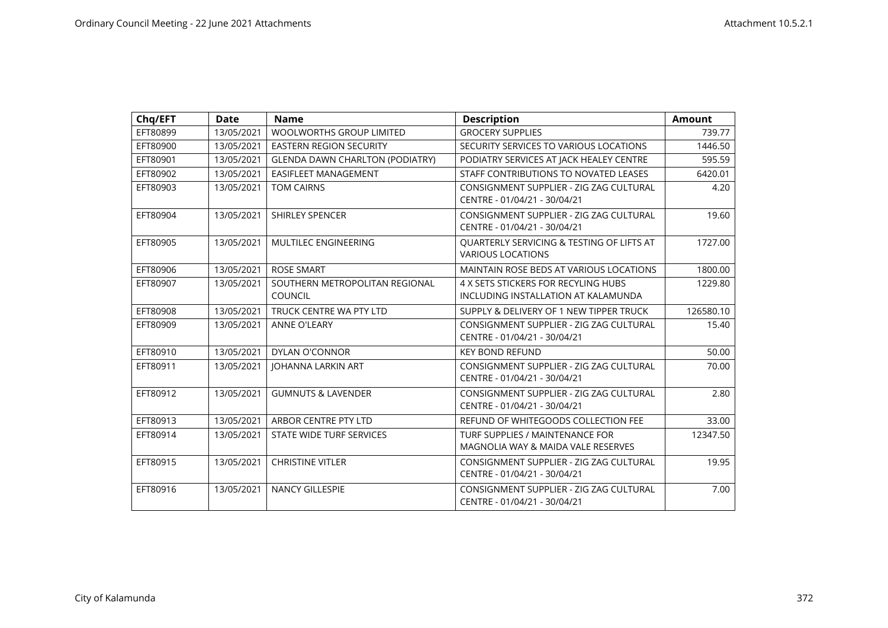| Chq/EFT  | <b>Date</b> | <b>Name</b>                                      | <b>Description</b>                                                         | <b>Amount</b> |
|----------|-------------|--------------------------------------------------|----------------------------------------------------------------------------|---------------|
| EFT80899 | 13/05/2021  | WOOLWORTHS GROUP LIMITED                         | <b>GROCERY SUPPLIES</b>                                                    | 739.77        |
| EFT80900 | 13/05/2021  | <b>EASTERN REGION SECURITY</b>                   | SECURITY SERVICES TO VARIOUS LOCATIONS                                     | 1446.50       |
| EFT80901 | 13/05/2021  | <b>GLENDA DAWN CHARLTON (PODIATRY)</b>           | PODIATRY SERVICES AT JACK HEALEY CENTRE                                    | 595.59        |
| EFT80902 | 13/05/2021  | EASIFLEET MANAGEMENT                             | STAFF CONTRIBUTIONS TO NOVATED LEASES                                      | 6420.01       |
| EFT80903 | 13/05/2021  | <b>TOM CAIRNS</b>                                | CONSIGNMENT SUPPLIER - ZIG ZAG CULTURAL<br>CENTRE - 01/04/21 - 30/04/21    | 4.20          |
| EFT80904 | 13/05/2021  | <b>SHIRLEY SPENCER</b>                           | CONSIGNMENT SUPPLIER - ZIG ZAG CULTURAL<br>CENTRE - 01/04/21 - 30/04/21    | 19.60         |
| EFT80905 | 13/05/2021  | MULTILEC ENGINEERING                             | QUARTERLY SERVICING & TESTING OF LIFTS AT<br><b>VARIOUS LOCATIONS</b>      | 1727.00       |
| EFT80906 | 13/05/2021  | <b>ROSE SMART</b>                                | MAINTAIN ROSE BEDS AT VARIOUS LOCATIONS                                    | 1800.00       |
| EFT80907 | 13/05/2021  | SOUTHERN METROPOLITAN REGIONAL<br><b>COUNCIL</b> | 4 X SETS STICKERS FOR RECYLING HUBS<br>INCLUDING INSTALLATION AT KALAMUNDA | 1229.80       |
| EFT80908 | 13/05/2021  | TRUCK CENTRE WA PTY LTD                          | SUPPLY & DELIVERY OF 1 NEW TIPPER TRUCK                                    | 126580.10     |
| EFT80909 | 13/05/2021  | <b>ANNE O'LEARY</b>                              | CONSIGNMENT SUPPLIER - ZIG ZAG CULTURAL<br>CENTRE - 01/04/21 - 30/04/21    | 15.40         |
| EFT80910 | 13/05/2021  | DYLAN O'CONNOR                                   | <b>KEY BOND REFUND</b>                                                     | 50.00         |
| EFT80911 | 13/05/2021  | <b>JOHANNA LARKIN ART</b>                        | CONSIGNMENT SUPPLIER - ZIG ZAG CULTURAL<br>CENTRE - 01/04/21 - 30/04/21    | 70.00         |
| EFT80912 | 13/05/2021  | <b>GUMNUTS &amp; LAVENDER</b>                    | CONSIGNMENT SUPPLIER - ZIG ZAG CULTURAL<br>CENTRE - 01/04/21 - 30/04/21    | 2.80          |
| EFT80913 | 13/05/2021  | ARBOR CENTRE PTY LTD                             | REFUND OF WHITEGOODS COLLECTION FEE                                        | 33.00         |
| EFT80914 | 13/05/2021  | <b>STATE WIDE TURF SERVICES</b>                  | TURF SUPPLIES / MAINTENANCE FOR<br>MAGNOLIA WAY & MAIDA VALE RESERVES      | 12347.50      |
| EFT80915 | 13/05/2021  | <b>CHRISTINE VITLER</b>                          | CONSIGNMENT SUPPLIER - ZIG ZAG CULTURAL<br>CENTRE - 01/04/21 - 30/04/21    | 19.95         |
| EFT80916 | 13/05/2021  | NANCY GILLESPIE                                  | CONSIGNMENT SUPPLIER - ZIG ZAG CULTURAL<br>CENTRE - 01/04/21 - 30/04/21    | 7.00          |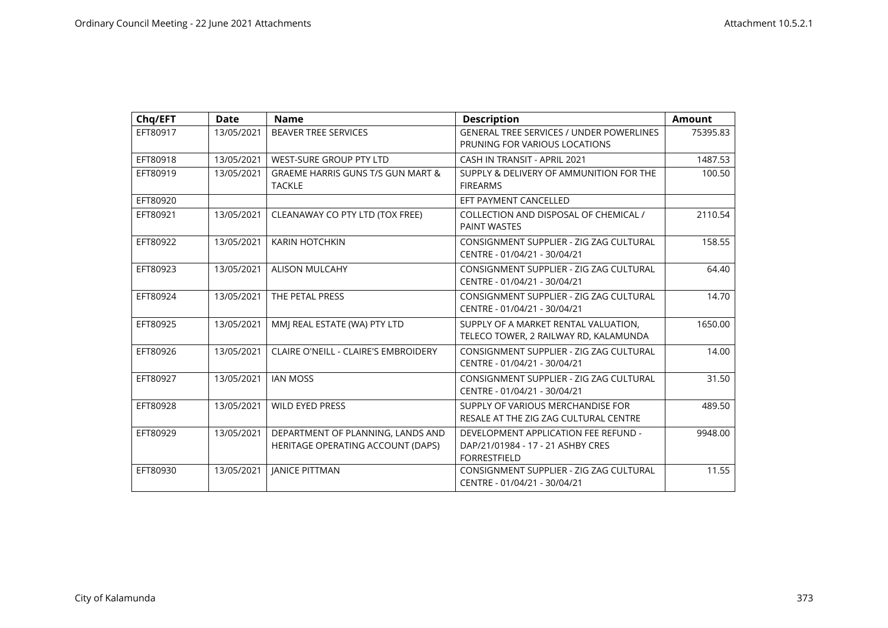| Chq/EFT  | <b>Date</b> | <b>Name</b>                                                            | <b>Description</b>                                                                               | <b>Amount</b> |
|----------|-------------|------------------------------------------------------------------------|--------------------------------------------------------------------------------------------------|---------------|
| EFT80917 | 13/05/2021  | <b>BEAVER TREE SERVICES</b>                                            | <b>GENERAL TREE SERVICES / UNDER POWERLINES</b><br>PRUNING FOR VARIOUS LOCATIONS                 | 75395.83      |
| EFT80918 | 13/05/2021  | <b>WEST-SURE GROUP PTY LTD</b>                                         | CASH IN TRANSIT - APRIL 2021                                                                     | 1487.53       |
| EFT80919 | 13/05/2021  | <b>GRAEME HARRIS GUNS T/S GUN MART &amp;</b><br><b>TACKLE</b>          | SUPPLY & DELIVERY OF AMMUNITION FOR THE<br><b>FIREARMS</b>                                       | 100.50        |
| EFT80920 |             |                                                                        | EFT PAYMENT CANCELLED                                                                            |               |
| EFT80921 | 13/05/2021  | CLEANAWAY CO PTY LTD (TOX FREE)                                        | COLLECTION AND DISPOSAL OF CHEMICAL /<br><b>PAINT WASTES</b>                                     | 2110.54       |
| EFT80922 | 13/05/2021  | <b>KARIN HOTCHKIN</b>                                                  | CONSIGNMENT SUPPLIER - ZIG ZAG CULTURAL<br>CENTRE - 01/04/21 - 30/04/21                          | 158.55        |
| EFT80923 | 13/05/2021  | <b>ALISON MULCAHY</b>                                                  | CONSIGNMENT SUPPLIER - ZIG ZAG CULTURAL<br>CENTRE - 01/04/21 - 30/04/21                          | 64.40         |
| EFT80924 | 13/05/2021  | THE PETAL PRESS                                                        | CONSIGNMENT SUPPLIER - ZIG ZAG CULTURAL<br>CENTRE - 01/04/21 - 30/04/21                          | 14.70         |
| EFT80925 | 13/05/2021  | MMI REAL ESTATE (WA) PTY LTD                                           | SUPPLY OF A MARKET RENTAL VALUATION,<br>TELECO TOWER, 2 RAILWAY RD, KALAMUNDA                    | 1650.00       |
| EFT80926 | 13/05/2021  | CLAIRE O'NEILL - CLAIRE'S EMBROIDERY                                   | CONSIGNMENT SUPPLIER - ZIG ZAG CULTURAL<br>CENTRE - 01/04/21 - 30/04/21                          | 14.00         |
| EFT80927 | 13/05/2021  | <b>IAN MOSS</b>                                                        | CONSIGNMENT SUPPLIER - ZIG ZAG CULTURAL<br>CENTRE - 01/04/21 - 30/04/21                          | 31.50         |
| EFT80928 | 13/05/2021  | <b>WILD EYED PRESS</b>                                                 | SUPPLY OF VARIOUS MERCHANDISE FOR<br>RESALE AT THE ZIG ZAG CULTURAL CENTRE                       | 489.50        |
| EFT80929 | 13/05/2021  | DEPARTMENT OF PLANNING, LANDS AND<br>HERITAGE OPERATING ACCOUNT (DAPS) | DEVELOPMENT APPLICATION FEE REFUND -<br>DAP/21/01984 - 17 - 21 ASHBY CRES<br><b>FORRESTFIELD</b> | 9948.00       |
| EFT80930 | 13/05/2021  | <b>JANICE PITTMAN</b>                                                  | CONSIGNMENT SUPPLIER - ZIG ZAG CULTURAL<br>CENTRE - 01/04/21 - 30/04/21                          | 11.55         |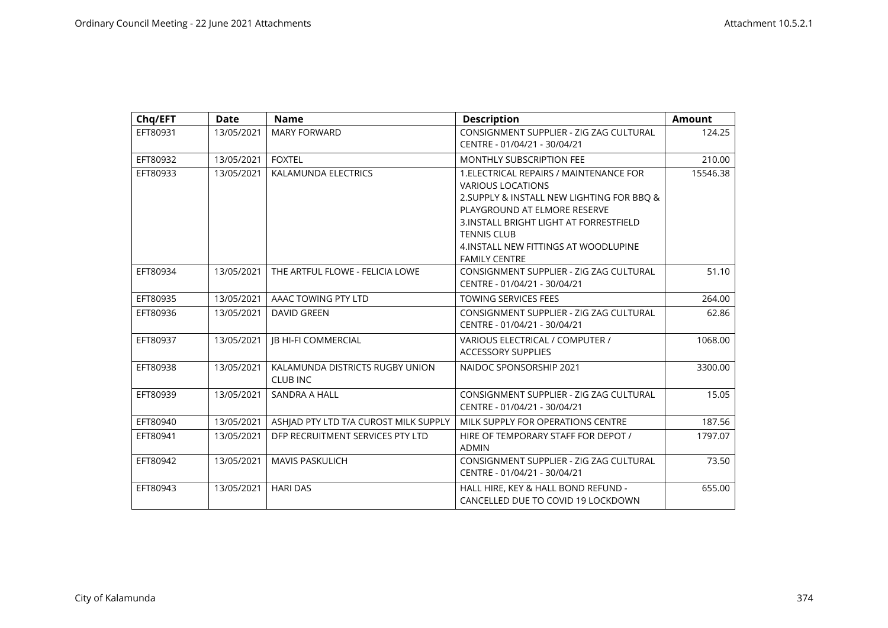| Chq/EFT  | <b>Date</b> | <b>Name</b>                                        | <b>Description</b>                                                                                                                                                                                                                                                                  | <b>Amount</b> |
|----------|-------------|----------------------------------------------------|-------------------------------------------------------------------------------------------------------------------------------------------------------------------------------------------------------------------------------------------------------------------------------------|---------------|
| EFT80931 | 13/05/2021  | <b>MARY FORWARD</b>                                | CONSIGNMENT SUPPLIER - ZIG ZAG CULTURAL<br>CENTRE - 01/04/21 - 30/04/21                                                                                                                                                                                                             | 124.25        |
| EFT80932 | 13/05/2021  | <b>FOXTEL</b>                                      | MONTHLY SUBSCRIPTION FEE                                                                                                                                                                                                                                                            | 210.00        |
| EFT80933 | 13/05/2021  | KALAMUNDA ELECTRICS                                | 1. ELECTRICAL REPAIRS / MAINTENANCE FOR<br><b>VARIOUS LOCATIONS</b><br>2. SUPPLY & INSTALL NEW LIGHTING FOR BBQ &<br>PLAYGROUND AT ELMORE RESERVE<br>3. INSTALL BRIGHT LIGHT AT FORRESTFIELD<br><b>TENNIS CLUB</b><br>4. INSTALL NEW FITTINGS AT WOODLUPINE<br><b>FAMILY CENTRE</b> | 15546.38      |
| EFT80934 | 13/05/2021  | THE ARTFUL FLOWE - FELICIA LOWE                    | CONSIGNMENT SUPPLIER - ZIG ZAG CULTURAL<br>CENTRE - 01/04/21 - 30/04/21                                                                                                                                                                                                             | 51.10         |
| EFT80935 | 13/05/2021  | AAAC TOWING PTY LTD                                | <b>TOWING SERVICES FEES</b>                                                                                                                                                                                                                                                         | 264.00        |
| EFT80936 | 13/05/2021  | <b>DAVID GREEN</b>                                 | CONSIGNMENT SUPPLIER - ZIG ZAG CULTURAL<br>CENTRE - 01/04/21 - 30/04/21                                                                                                                                                                                                             | 62.86         |
| EFT80937 | 13/05/2021  | <b>IB HI-FI COMMERCIAL</b>                         | VARIOUS ELECTRICAL / COMPUTER /<br><b>ACCESSORY SUPPLIES</b>                                                                                                                                                                                                                        | 1068.00       |
| EFT80938 | 13/05/2021  | KALAMUNDA DISTRICTS RUGBY UNION<br><b>CLUB INC</b> | NAIDOC SPONSORSHIP 2021                                                                                                                                                                                                                                                             | 3300.00       |
| EFT80939 | 13/05/2021  | <b>SANDRA A HALL</b>                               | CONSIGNMENT SUPPLIER - ZIG ZAG CULTURAL<br>CENTRE - 01/04/21 - 30/04/21                                                                                                                                                                                                             | 15.05         |
| EFT80940 | 13/05/2021  | ASHIAD PTY LTD T/A CUROST MILK SUPPLY              | MILK SUPPLY FOR OPERATIONS CENTRE                                                                                                                                                                                                                                                   | 187.56        |
| EFT80941 | 13/05/2021  | DFP RECRUITMENT SERVICES PTY LTD                   | HIRE OF TEMPORARY STAFF FOR DEPOT /<br><b>ADMIN</b>                                                                                                                                                                                                                                 | 1797.07       |
| EFT80942 | 13/05/2021  | <b>MAVIS PASKULICH</b>                             | CONSIGNMENT SUPPLIER - ZIG ZAG CULTURAL<br>CENTRE - 01/04/21 - 30/04/21                                                                                                                                                                                                             | 73.50         |
| EFT80943 | 13/05/2021  | <b>HARI DAS</b>                                    | HALL HIRE, KEY & HALL BOND REFUND -<br>CANCELLED DUE TO COVID 19 LOCKDOWN                                                                                                                                                                                                           | 655.00        |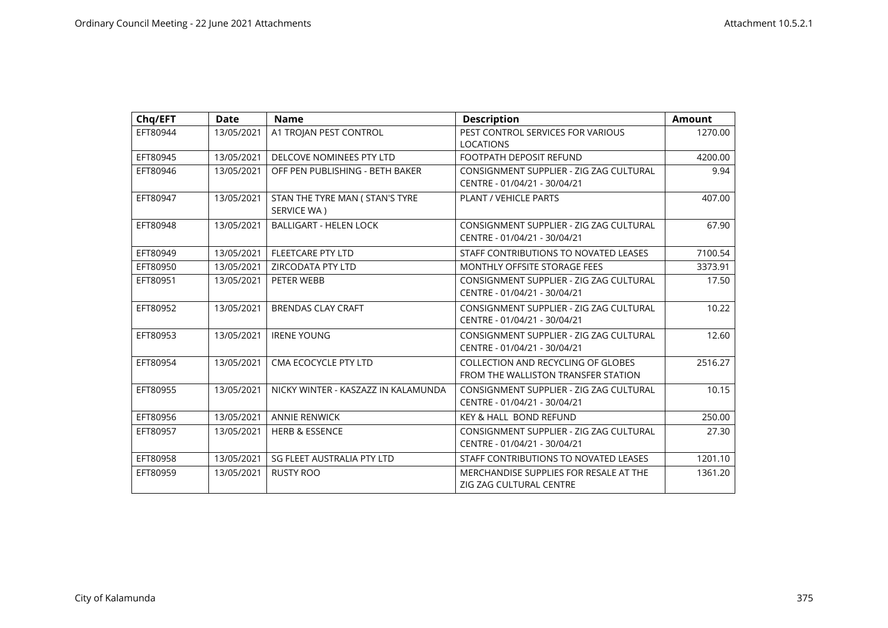| Chq/EFT  | Date       | <b>Name</b>                                    | <b>Description</b>                                                               | <b>Amount</b> |
|----------|------------|------------------------------------------------|----------------------------------------------------------------------------------|---------------|
| EFT80944 | 13/05/2021 | A1 TROJAN PEST CONTROL                         | PEST CONTROL SERVICES FOR VARIOUS<br><b>LOCATIONS</b>                            | 1270.00       |
| EFT80945 | 13/05/2021 | DELCOVE NOMINEES PTY LTD                       | <b>FOOTPATH DEPOSIT REFUND</b>                                                   | 4200.00       |
| EFT80946 | 13/05/2021 | OFF PEN PUBLISHING - BETH BAKER                | CONSIGNMENT SUPPLIER - ZIG ZAG CULTURAL<br>CENTRE - 01/04/21 - 30/04/21          | 9.94          |
| EFT80947 | 13/05/2021 | STAN THE TYRE MAN ( STAN'S TYRE<br>SERVICE WA) | PLANT / VEHICLE PARTS                                                            | 407.00        |
| EFT80948 | 13/05/2021 | <b>BALLIGART - HELEN LOCK</b>                  | CONSIGNMENT SUPPLIER - ZIG ZAG CULTURAL<br>CENTRE - 01/04/21 - 30/04/21          | 67.90         |
| EFT80949 | 13/05/2021 | <b>FLEETCARE PTY LTD</b>                       | STAFF CONTRIBUTIONS TO NOVATED LEASES                                            | 7100.54       |
| EFT80950 | 13/05/2021 | ZIRCODATA PTY LTD                              | <b>MONTHLY OFFSITE STORAGE FEES</b>                                              | 3373.91       |
| EFT80951 | 13/05/2021 | PETER WEBB                                     | CONSIGNMENT SUPPLIER - ZIG ZAG CULTURAL<br>CENTRE - 01/04/21 - 30/04/21          | 17.50         |
| EFT80952 | 13/05/2021 | <b>BRENDAS CLAY CRAFT</b>                      | CONSIGNMENT SUPPLIER - ZIG ZAG CULTURAL<br>CENTRE - 01/04/21 - 30/04/21          | 10.22         |
| EFT80953 | 13/05/2021 | <b>IRENE YOUNG</b>                             | CONSIGNMENT SUPPLIER - ZIG ZAG CULTURAL<br>CENTRE - 01/04/21 - 30/04/21          | 12.60         |
| EFT80954 | 13/05/2021 | CMA ECOCYCLE PTY LTD                           | <b>COLLECTION AND RECYCLING OF GLOBES</b><br>FROM THE WALLISTON TRANSFER STATION | 2516.27       |
| EFT80955 | 13/05/2021 | NICKY WINTER - KASZAZZ IN KALAMUNDA            | CONSIGNMENT SUPPLIER - ZIG ZAG CULTURAL<br>CENTRE - 01/04/21 - 30/04/21          | 10.15         |
| EFT80956 | 13/05/2021 | <b>ANNIE RENWICK</b>                           | <b>KEY &amp; HALL BOND REFUND</b>                                                | 250.00        |
| EFT80957 | 13/05/2021 | <b>HERB &amp; ESSENCE</b>                      | CONSIGNMENT SUPPLIER - ZIG ZAG CULTURAL<br>CENTRE - 01/04/21 - 30/04/21          | 27.30         |
| EFT80958 | 13/05/2021 | SG FLEET AUSTRALIA PTY LTD                     | STAFF CONTRIBUTIONS TO NOVATED LEASES                                            | 1201.10       |
| EFT80959 | 13/05/2021 | <b>RUSTY ROO</b>                               | MERCHANDISE SUPPLIES FOR RESALE AT THE<br><b>ZIG ZAG CULTURAL CENTRE</b>         | 1361.20       |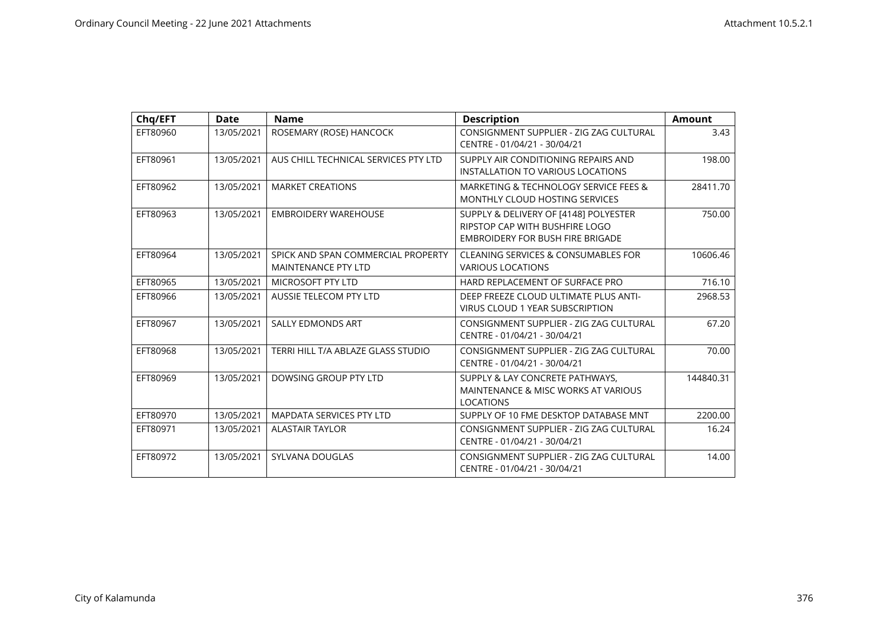| Chq/EFT  | <b>Date</b> | <b>Name</b>                                                      | <b>Description</b>                                                                                          | <b>Amount</b> |
|----------|-------------|------------------------------------------------------------------|-------------------------------------------------------------------------------------------------------------|---------------|
| EFT80960 | 13/05/2021  | ROSEMARY (ROSE) HANCOCK                                          | CONSIGNMENT SUPPLIER - ZIG ZAG CULTURAL<br>CENTRE - 01/04/21 - 30/04/21                                     | 3.43          |
| EFT80961 | 13/05/2021  | AUS CHILL TECHNICAL SERVICES PTY LTD                             | SUPPLY AIR CONDITIONING REPAIRS AND<br>INSTALLATION TO VARIOUS LOCATIONS                                    | 198.00        |
| EFT80962 | 13/05/2021  | <b>MARKET CREATIONS</b>                                          | MARKETING & TECHNOLOGY SERVICE FEES &<br>MONTHLY CLOUD HOSTING SERVICES                                     | 28411.70      |
| EFT80963 | 13/05/2021  | <b>EMBROIDERY WAREHOUSE</b>                                      | SUPPLY & DELIVERY OF [4148] POLYESTER<br>RIPSTOP CAP WITH BUSHFIRE LOGO<br>EMBROIDERY FOR BUSH FIRE BRIGADE | 750.00        |
| EFT80964 | 13/05/2021  | SPICK AND SPAN COMMERCIAL PROPERTY<br><b>MAINTENANCE PTY LTD</b> | CLEANING SERVICES & CONSUMABLES FOR<br><b>VARIOUS LOCATIONS</b>                                             | 10606.46      |
| EFT80965 | 13/05/2021  | <b>MICROSOFT PTY LTD</b>                                         | HARD REPLACEMENT OF SURFACE PRO                                                                             | 716.10        |
| EFT80966 | 13/05/2021  | <b>AUSSIE TELECOM PTY LTD</b>                                    | DEEP FREEZE CLOUD ULTIMATE PLUS ANTI-<br><b>VIRUS CLOUD 1 YEAR SUBSCRIPTION</b>                             | 2968.53       |
| EFT80967 | 13/05/2021  | <b>SALLY EDMONDS ART</b>                                         | CONSIGNMENT SUPPLIER - ZIG ZAG CULTURAL<br>CENTRE - 01/04/21 - 30/04/21                                     | 67.20         |
| EFT80968 | 13/05/2021  | TERRI HILL T/A ABLAZE GLASS STUDIO                               | CONSIGNMENT SUPPLIER - ZIG ZAG CULTURAL<br>CENTRE - 01/04/21 - 30/04/21                                     | 70.00         |
| EFT80969 | 13/05/2021  | DOWSING GROUP PTY LTD                                            | SUPPLY & LAY CONCRETE PATHWAYS,<br>MAINTENANCE & MISC WORKS AT VARIOUS<br><b>LOCATIONS</b>                  | 144840.31     |
| EFT80970 | 13/05/2021  | MAPDATA SERVICES PTY LTD                                         | SUPPLY OF 10 FME DESKTOP DATABASE MNT                                                                       | 2200.00       |
| EFT80971 | 13/05/2021  | <b>ALASTAIR TAYLOR</b>                                           | CONSIGNMENT SUPPLIER - ZIG ZAG CULTURAL<br>CENTRE - 01/04/21 - 30/04/21                                     | 16.24         |
| EFT80972 | 13/05/2021  | SYLVANA DOUGLAS                                                  | CONSIGNMENT SUPPLIER - ZIG ZAG CULTURAL<br>CENTRE - 01/04/21 - 30/04/21                                     | 14.00         |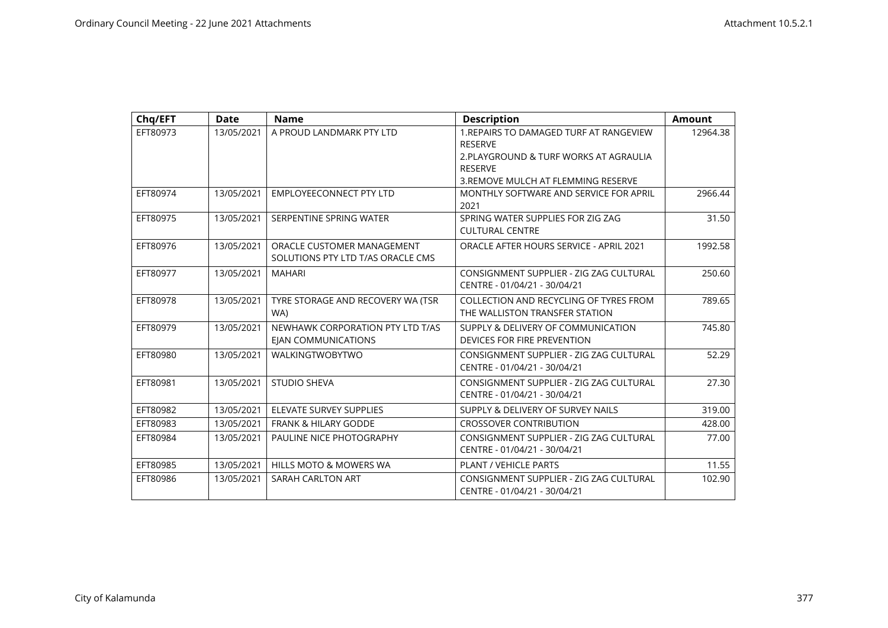| Chq/EFT  | <b>Date</b> | <b>Name</b>                                                     | <b>Description</b>                                                       | <b>Amount</b> |
|----------|-------------|-----------------------------------------------------------------|--------------------------------------------------------------------------|---------------|
| EFT80973 | 13/05/2021  | A PROUD LANDMARK PTY LTD                                        | 1.REPAIRS TO DAMAGED TURF AT RANGEVIEW<br><b>RESERVE</b>                 | 12964.38      |
|          |             |                                                                 | 2. PLAYGROUND & TURF WORKS AT AGRAULIA                                   |               |
|          |             |                                                                 | <b>RESERVE</b>                                                           |               |
|          |             |                                                                 | 3. REMOVE MULCH AT FLEMMING RESERVE                                      |               |
| EFT80974 | 13/05/2021  | <b>EMPLOYEECONNECT PTY LTD</b>                                  | MONTHLY SOFTWARE AND SERVICE FOR APRIL<br>2021                           | 2966.44       |
| EFT80975 | 13/05/2021  | SERPENTINE SPRING WATER                                         | SPRING WATER SUPPLIES FOR ZIG ZAG<br><b>CULTURAL CENTRE</b>              | 31.50         |
| EFT80976 | 13/05/2021  | ORACLE CUSTOMER MANAGEMENT<br>SOLUTIONS PTY LTD T/AS ORACLE CMS | ORACLE AFTER HOURS SERVICE - APRIL 2021                                  | 1992.58       |
| EFT80977 | 13/05/2021  | <b>MAHARI</b>                                                   | CONSIGNMENT SUPPLIER - ZIG ZAG CULTURAL<br>CENTRE - 01/04/21 - 30/04/21  | 250.60        |
| EFT80978 | 13/05/2021  | TYRE STORAGE AND RECOVERY WA (TSR<br>WA)                        | COLLECTION AND RECYCLING OF TYRES FROM<br>THE WALLISTON TRANSFER STATION | 789.65        |
| EFT80979 | 13/05/2021  | NEWHAWK CORPORATION PTY LTD T/AS<br><b>EIAN COMMUNICATIONS</b>  | SUPPLY & DELIVERY OF COMMUNICATION<br>DEVICES FOR FIRE PREVENTION        | 745.80        |
| EFT80980 | 13/05/2021  | <b>WALKINGTWOBYTWO</b>                                          | CONSIGNMENT SUPPLIER - ZIG ZAG CULTURAL<br>CENTRE - 01/04/21 - 30/04/21  | 52.29         |
| EFT80981 | 13/05/2021  | <b>STUDIO SHEVA</b>                                             | CONSIGNMENT SUPPLIER - ZIG ZAG CULTURAL<br>CENTRE - 01/04/21 - 30/04/21  | 27.30         |
| EFT80982 | 13/05/2021  | <b>ELEVATE SURVEY SUPPLIES</b>                                  | SUPPLY & DELIVERY OF SURVEY NAILS                                        | 319.00        |
| EFT80983 | 13/05/2021  | <b>FRANK &amp; HILARY GODDE</b>                                 | <b>CROSSOVER CONTRIBUTION</b>                                            | 428.00        |
| EFT80984 | 13/05/2021  | PAULINE NICE PHOTOGRAPHY                                        | CONSIGNMENT SUPPLIER - ZIG ZAG CULTURAL<br>CENTRE - 01/04/21 - 30/04/21  | 77.00         |
| EFT80985 | 13/05/2021  | HILLS MOTO & MOWERS WA                                          | <b>PLANT / VEHICLE PARTS</b>                                             | 11.55         |
| EFT80986 | 13/05/2021  | SARAH CARLTON ART                                               | CONSIGNMENT SUPPLIER - ZIG ZAG CULTURAL<br>CENTRE - 01/04/21 - 30/04/21  | 102.90        |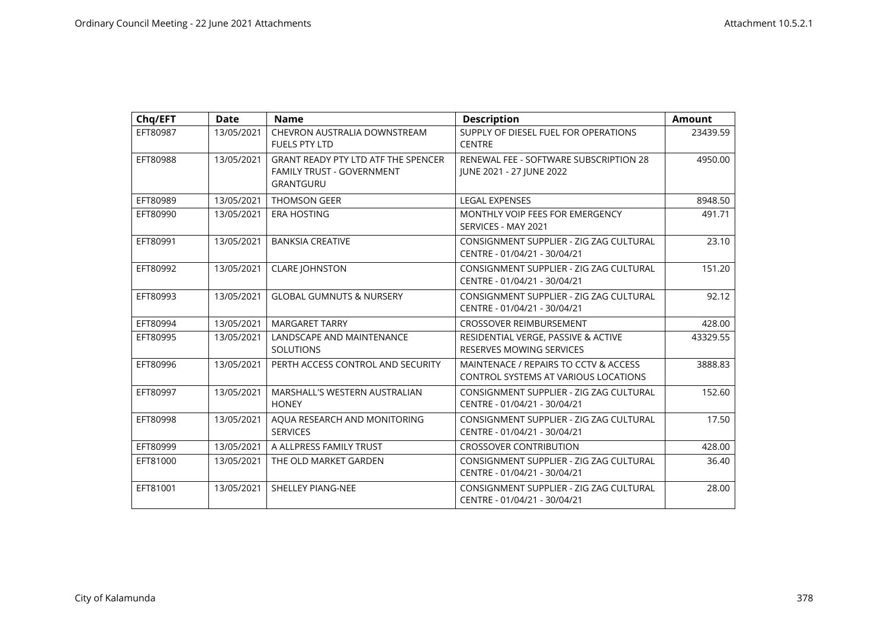| Chq/EFT  | <b>Date</b> | <b>Name</b>                                                                                 | <b>Description</b>                                                            | <b>Amount</b> |
|----------|-------------|---------------------------------------------------------------------------------------------|-------------------------------------------------------------------------------|---------------|
| EFT80987 | 13/05/2021  | CHEVRON AUSTRALIA DOWNSTREAM<br><b>FUELS PTY LTD</b>                                        | SUPPLY OF DIESEL FUEL FOR OPERATIONS<br><b>CENTRE</b>                         | 23439.59      |
| EFT80988 | 13/05/2021  | <b>GRANT READY PTY LTD ATF THE SPENCER</b><br><b>FAMILY TRUST - GOVERNMENT</b><br>GRANTGURU | RENEWAL FEE - SOFTWARE SUBSCRIPTION 28<br>JUNE 2021 - 27 JUNE 2022            | 4950.00       |
| EFT80989 | 13/05/2021  | <b>THOMSON GEER</b>                                                                         | <b>LEGAL EXPENSES</b>                                                         | 8948.50       |
| EFT80990 | 13/05/2021  | <b>ERA HOSTING</b>                                                                          | MONTHLY VOIP FEES FOR EMERGENCY<br>SERVICES - MAY 2021                        | 491.71        |
| EFT80991 | 13/05/2021  | <b>BANKSIA CREATIVE</b>                                                                     | CONSIGNMENT SUPPLIER - ZIG ZAG CULTURAL<br>CENTRE - 01/04/21 - 30/04/21       | 23.10         |
| EFT80992 | 13/05/2021  | <b>CLARE JOHNSTON</b>                                                                       | CONSIGNMENT SUPPLIER - ZIG ZAG CULTURAL<br>CENTRE - 01/04/21 - 30/04/21       | 151.20        |
| EFT80993 | 13/05/2021  | <b>GLOBAL GUMNUTS &amp; NURSERY</b>                                                         | CONSIGNMENT SUPPLIER - ZIG ZAG CULTURAL<br>CENTRE - 01/04/21 - 30/04/21       | 92.12         |
| EFT80994 | 13/05/2021  | <b>MARGARET TARRY</b>                                                                       | <b>CROSSOVER REIMBURSEMENT</b>                                                | 428.00        |
| EFT80995 | 13/05/2021  | LANDSCAPE AND MAINTENANCE<br><b>SOLUTIONS</b>                                               | RESIDENTIAL VERGE, PASSIVE & ACTIVE<br>RESERVES MOWING SERVICES               | 43329.55      |
| EFT80996 | 13/05/2021  | PERTH ACCESS CONTROL AND SECURITY                                                           | MAINTENACE / REPAIRS TO CCTV & ACCESS<br>CONTROL SYSTEMS AT VARIOUS LOCATIONS | 3888.83       |
| EFT80997 | 13/05/2021  | MARSHALL'S WESTERN AUSTRALIAN<br><b>HONEY</b>                                               | CONSIGNMENT SUPPLIER - ZIG ZAG CULTURAL<br>CENTRE - 01/04/21 - 30/04/21       | 152.60        |
| EFT80998 | 13/05/2021  | AQUA RESEARCH AND MONITORING<br><b>SERVICES</b>                                             | CONSIGNMENT SUPPLIER - ZIG ZAG CULTURAL<br>CENTRE - 01/04/21 - 30/04/21       | 17.50         |
| EFT80999 | 13/05/2021  | A ALLPRESS FAMILY TRUST                                                                     | <b>CROSSOVER CONTRIBUTION</b>                                                 | 428.00        |
| EFT81000 | 13/05/2021  | THE OLD MARKET GARDEN                                                                       | CONSIGNMENT SUPPLIER - ZIG ZAG CULTURAL<br>CENTRE - 01/04/21 - 30/04/21       | 36.40         |
| EFT81001 | 13/05/2021  | <b>SHELLEY PIANG-NEE</b>                                                                    | CONSIGNMENT SUPPLIER - ZIG ZAG CULTURAL<br>CENTRE - 01/04/21 - 30/04/21       | 28.00         |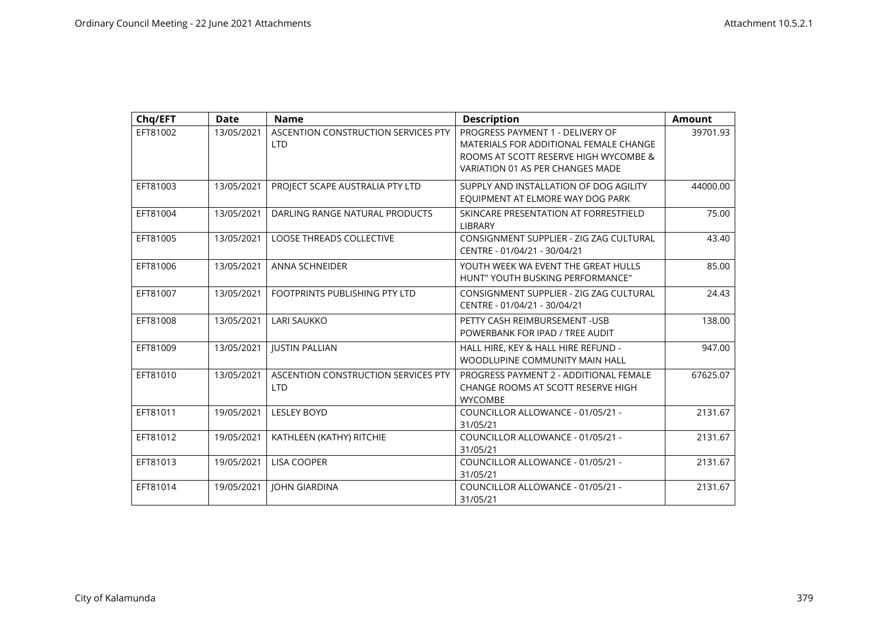| Chq/EFT  | <b>Date</b> | <b>Name</b>                                       | <b>Description</b>                                                                                                                                      | <b>Amount</b> |
|----------|-------------|---------------------------------------------------|---------------------------------------------------------------------------------------------------------------------------------------------------------|---------------|
| EFT81002 | 13/05/2021  | ASCENTION CONSTRUCTION SERVICES PTY<br><b>LTD</b> | PROGRESS PAYMENT 1 - DELIVERY OF<br>MATERIALS FOR ADDITIONAL FEMALE CHANGE<br>ROOMS AT SCOTT RESERVE HIGH WYCOMBE &<br>VARIATION 01 AS PER CHANGES MADE | 39701.93      |
| EFT81003 | 13/05/2021  | PROJECT SCAPE AUSTRALIA PTY LTD                   | SUPPLY AND INSTALLATION OF DOG AGILITY<br>EQUIPMENT AT ELMORE WAY DOG PARK                                                                              | 44000.00      |
| EFT81004 | 13/05/2021  | DARLING RANGE NATURAL PRODUCTS                    | SKINCARE PRESENTATION AT FORRESTFIELD<br><b>LIBRARY</b>                                                                                                 | 75.00         |
| EFT81005 | 13/05/2021  | <b>LOOSE THREADS COLLECTIVE</b>                   | CONSIGNMENT SUPPLIER - ZIG ZAG CULTURAL<br>CENTRE - 01/04/21 - 30/04/21                                                                                 | 43.40         |
| EFT81006 | 13/05/2021  | <b>ANNA SCHNEIDER</b>                             | YOUTH WEEK WA EVENT THE GREAT HULLS<br>HUNT" YOUTH BUSKING PERFORMANCE"                                                                                 | 85.00         |
| EFT81007 | 13/05/2021  | FOOTPRINTS PUBLISHING PTY LTD                     | CONSIGNMENT SUPPLIER - ZIG ZAG CULTURAL<br>CENTRE - 01/04/21 - 30/04/21                                                                                 | 24.43         |
| EFT81008 | 13/05/2021  | <b>LARI SAUKKO</b>                                | PETTY CASH REIMBURSEMENT - USB<br>POWERBANK FOR IPAD / TREE AUDIT                                                                                       | 138.00        |
| EFT81009 | 13/05/2021  | <b>JUSTIN PALLIAN</b>                             | HALL HIRE, KEY & HALL HIRE REFUND -<br>WOODLUPINE COMMUNITY MAIN HALL                                                                                   | 947.00        |
| EFT81010 | 13/05/2021  | ASCENTION CONSTRUCTION SERVICES PTY<br><b>LTD</b> | PROGRESS PAYMENT 2 - ADDITIONAL FEMALE<br>CHANGE ROOMS AT SCOTT RESERVE HIGH<br><b>WYCOMBE</b>                                                          | 67625.07      |
| EFT81011 | 19/05/2021  | <b>LESLEY BOYD</b>                                | COUNCILLOR ALLOWANCE - 01/05/21 -<br>31/05/21                                                                                                           | 2131.67       |
| EFT81012 | 19/05/2021  | KATHLEEN (KATHY) RITCHIE                          | COUNCILLOR ALLOWANCE - 01/05/21 -<br>31/05/21                                                                                                           | 2131.67       |
| EFT81013 | 19/05/2021  | <b>LISA COOPER</b>                                | COUNCILLOR ALLOWANCE - 01/05/21 -<br>31/05/21                                                                                                           | 2131.67       |
| EFT81014 | 19/05/2021  | <b>JOHN GIARDINA</b>                              | COUNCILLOR ALLOWANCE - 01/05/21 -<br>31/05/21                                                                                                           | 2131.67       |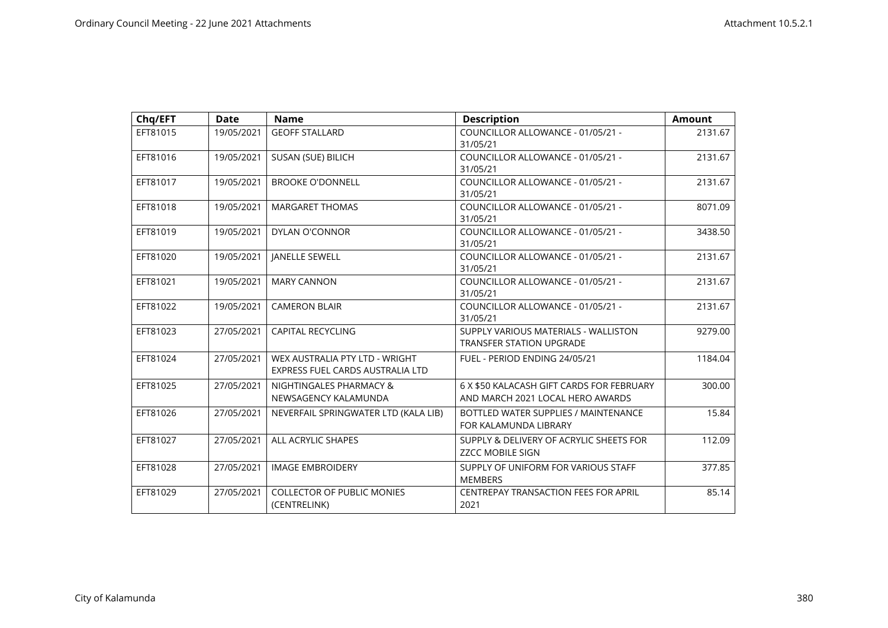| Chq/EFT  | <b>Date</b> | <b>Name</b>                                                        | <b>Description</b>                                                            | <b>Amount</b> |
|----------|-------------|--------------------------------------------------------------------|-------------------------------------------------------------------------------|---------------|
| EFT81015 | 19/05/2021  | <b>GEOFF STALLARD</b>                                              | COUNCILLOR ALLOWANCE - 01/05/21 -<br>31/05/21                                 | 2131.67       |
| EFT81016 | 19/05/2021  | SUSAN (SUE) BILICH                                                 | COUNCILLOR ALLOWANCE - 01/05/21 -<br>31/05/21                                 | 2131.67       |
| EFT81017 | 19/05/2021  | <b>BROOKE O'DONNELL</b>                                            | COUNCILLOR ALLOWANCE - 01/05/21 -<br>31/05/21                                 | 2131.67       |
| EFT81018 | 19/05/2021  | <b>MARGARET THOMAS</b>                                             | COUNCILLOR ALLOWANCE - 01/05/21 -<br>31/05/21                                 | 8071.09       |
| EFT81019 | 19/05/2021  | <b>DYLAN O'CONNOR</b>                                              | COUNCILLOR ALLOWANCE - 01/05/21 -<br>31/05/21                                 | 3438.50       |
| EFT81020 | 19/05/2021  | <b>JANELLE SEWELL</b>                                              | COUNCILLOR ALLOWANCE - 01/05/21 -<br>31/05/21                                 | 2131.67       |
| EFT81021 | 19/05/2021  | <b>MARY CANNON</b>                                                 | COUNCILLOR ALLOWANCE - 01/05/21 -<br>31/05/21                                 | 2131.67       |
| EFT81022 | 19/05/2021  | <b>CAMERON BLAIR</b>                                               | COUNCILLOR ALLOWANCE - 01/05/21 -<br>31/05/21                                 | 2131.67       |
| EFT81023 | 27/05/2021  | <b>CAPITAL RECYCLING</b>                                           | SUPPLY VARIOUS MATERIALS - WALLISTON<br><b>TRANSFER STATION UPGRADE</b>       | 9279.00       |
| EFT81024 | 27/05/2021  | WEX AUSTRALIA PTY LTD - WRIGHT<br>EXPRESS FUEL CARDS AUSTRALIA LTD | FUEL - PERIOD ENDING 24/05/21                                                 | 1184.04       |
| EFT81025 | 27/05/2021  | NIGHTINGALES PHARMACY &<br>NEWSAGENCY KALAMUNDA                    | 6 X \$50 KALACASH GIFT CARDS FOR FEBRUARY<br>AND MARCH 2021 LOCAL HERO AWARDS | 300.00        |
| EFT81026 | 27/05/2021  | NEVERFAIL SPRINGWATER LTD (KALA LIB)                               | BOTTLED WATER SUPPLIES / MAINTENANCE<br>FOR KALAMUNDA LIBRARY                 | 15.84         |
| EFT81027 | 27/05/2021  | ALL ACRYLIC SHAPES                                                 | SUPPLY & DELIVERY OF ACRYLIC SHEETS FOR<br><b>ZZCC MOBILE SIGN</b>            | 112.09        |
| EFT81028 | 27/05/2021  | <b>IMAGE EMBROIDERY</b>                                            | SUPPLY OF UNIFORM FOR VARIOUS STAFF<br><b>MEMBERS</b>                         | 377.85        |
| EFT81029 | 27/05/2021  | <b>COLLECTOR OF PUBLIC MONIES</b><br>(CENTRELINK)                  | <b>CENTREPAY TRANSACTION FEES FOR APRIL</b><br>2021                           | 85.14         |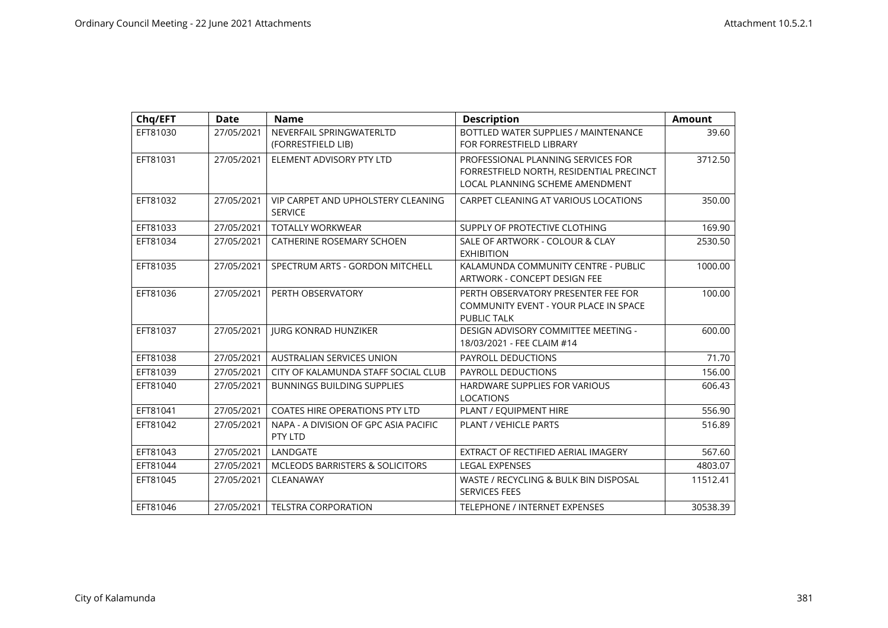| Chq/EFT  | <b>Date</b> | <b>Name</b>                                                 | <b>Description</b>                                                                                                | <b>Amount</b> |
|----------|-------------|-------------------------------------------------------------|-------------------------------------------------------------------------------------------------------------------|---------------|
| EFT81030 | 27/05/2021  | NEVERFAIL SPRINGWATERLTD<br>(FORRESTFIELD LIB)              | BOTTLED WATER SUPPLIES / MAINTENANCE<br>FOR FORRESTFIELD LIBRARY                                                  | 39.60         |
| EFT81031 | 27/05/2021  | ELEMENT ADVISORY PTY LTD                                    | PROFESSIONAL PLANNING SERVICES FOR<br>FORRESTFIELD NORTH, RESIDENTIAL PRECINCT<br>LOCAL PLANNING SCHEME AMENDMENT | 3712.50       |
| EFT81032 | 27/05/2021  | <b>VIP CARPET AND UPHOLSTERY CLEANING</b><br><b>SERVICE</b> | CARPET CLEANING AT VARIOUS LOCATIONS                                                                              | 350.00        |
| EFT81033 | 27/05/2021  | <b>TOTALLY WORKWEAR</b>                                     | SUPPLY OF PROTECTIVE CLOTHING                                                                                     | 169.90        |
| EFT81034 | 27/05/2021  | CATHERINE ROSEMARY SCHOEN                                   | SALE OF ARTWORK - COLOUR & CLAY<br><b>EXHIBITION</b>                                                              | 2530.50       |
| EFT81035 | 27/05/2021  | SPECTRUM ARTS - GORDON MITCHELL                             | KALAMUNDA COMMUNITY CENTRE - PUBLIC<br>ARTWORK - CONCEPT DESIGN FEE                                               | 1000.00       |
| EFT81036 | 27/05/2021  | PERTH OBSERVATORY                                           | PERTH OBSERVATORY PRESENTER FEE FOR<br>COMMUNITY EVENT - YOUR PLACE IN SPACE<br><b>PUBLIC TALK</b>                | 100.00        |
| EFT81037 | 27/05/2021  | <b>JURG KONRAD HUNZIKER</b>                                 | DESIGN ADVISORY COMMITTEE MEETING -<br>18/03/2021 - FEE CLAIM #14                                                 | 600.00        |
| EFT81038 | 27/05/2021  | <b>AUSTRALIAN SERVICES UNION</b>                            | PAYROLL DEDUCTIONS                                                                                                | 71.70         |
| EFT81039 | 27/05/2021  | CITY OF KALAMUNDA STAFF SOCIAL CLUB                         | <b>PAYROLL DEDUCTIONS</b>                                                                                         | 156.00        |
| EFT81040 | 27/05/2021  | <b>BUNNINGS BUILDING SUPPLIES</b>                           | <b>HARDWARE SUPPLIES FOR VARIOUS</b><br><b>LOCATIONS</b>                                                          | 606.43        |
| EFT81041 | 27/05/2021  | <b>COATES HIRE OPERATIONS PTY LTD</b>                       | PLANT / EQUIPMENT HIRE                                                                                            | 556.90        |
| EFT81042 | 27/05/2021  | NAPA - A DIVISION OF GPC ASIA PACIFIC<br>PTY LTD            | <b>PLANT / VEHICLE PARTS</b>                                                                                      | 516.89        |
| EFT81043 | 27/05/2021  | LANDGATE                                                    | EXTRACT OF RECTIFIED AERIAL IMAGERY                                                                               | 567.60        |
| EFT81044 | 27/05/2021  | MCLEODS BARRISTERS & SOLICITORS                             | <b>LEGAL EXPENSES</b>                                                                                             | 4803.07       |
| EFT81045 | 27/05/2021  | CLEANAWAY                                                   | WASTE / RECYCLING & BULK BIN DISPOSAL<br><b>SERVICES FEES</b>                                                     | 11512.41      |
| EFT81046 | 27/05/2021  | <b>TELSTRA CORPORATION</b>                                  | <b>TELEPHONE / INTERNET EXPENSES</b>                                                                              | 30538.39      |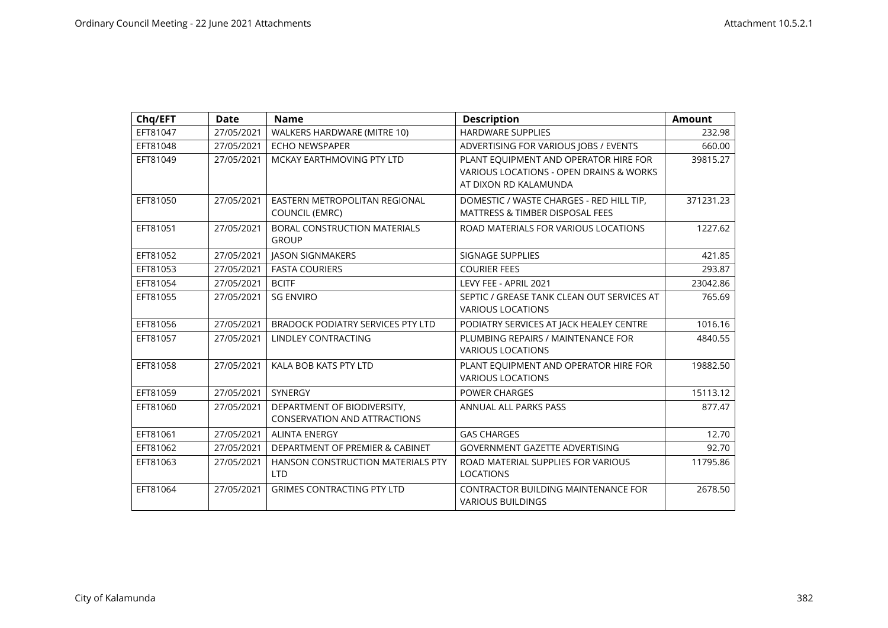| Chq/EFT  | <b>Date</b> | <b>Name</b>                                                        | <b>Description</b>                                                                                        | <b>Amount</b> |
|----------|-------------|--------------------------------------------------------------------|-----------------------------------------------------------------------------------------------------------|---------------|
| EFT81047 | 27/05/2021  | WALKERS HARDWARE (MITRE 10)                                        | <b>HARDWARE SUPPLIES</b>                                                                                  | 232.98        |
| EFT81048 | 27/05/2021  | <b>ECHO NEWSPAPER</b>                                              | ADVERTISING FOR VARIOUS JOBS / EVENTS                                                                     | 660.00        |
| EFT81049 | 27/05/2021  | MCKAY EARTHMOVING PTY LTD                                          | PLANT EQUIPMENT AND OPERATOR HIRE FOR<br>VARIOUS LOCATIONS - OPEN DRAINS & WORKS<br>AT DIXON RD KALAMUNDA | 39815.27      |
| EFT81050 | 27/05/2021  | EASTERN METROPOLITAN REGIONAL<br><b>COUNCIL (EMRC)</b>             | DOMESTIC / WASTE CHARGES - RED HILL TIP,<br><b>MATTRESS &amp; TIMBER DISPOSAL FEES</b>                    | 371231.23     |
| EFT81051 | 27/05/2021  | <b>BORAL CONSTRUCTION MATERIALS</b><br><b>GROUP</b>                | ROAD MATERIALS FOR VARIOUS LOCATIONS                                                                      | 1227.62       |
| EFT81052 | 27/05/2021  | <b>JASON SIGNMAKERS</b>                                            | SIGNAGE SUPPLIES                                                                                          | 421.85        |
| EFT81053 | 27/05/2021  | <b>FASTA COURIERS</b>                                              | <b>COURIER FEES</b>                                                                                       | 293.87        |
| EFT81054 | 27/05/2021  | <b>BCITF</b>                                                       | LEVY FEE - APRIL 2021                                                                                     | 23042.86      |
| EFT81055 | 27/05/2021  | <b>SG ENVIRO</b>                                                   | SEPTIC / GREASE TANK CLEAN OUT SERVICES AT<br><b>VARIOUS LOCATIONS</b>                                    | 765.69        |
| EFT81056 | 27/05/2021  | <b>BRADOCK PODIATRY SERVICES PTY LTD</b>                           | PODIATRY SERVICES AT JACK HEALEY CENTRE                                                                   | 1016.16       |
| EFT81057 | 27/05/2021  | <b>LINDLEY CONTRACTING</b>                                         | PLUMBING REPAIRS / MAINTENANCE FOR<br><b>VARIOUS LOCATIONS</b>                                            | 4840.55       |
| EFT81058 | 27/05/2021  | KALA BOB KATS PTY LTD                                              | PLANT EQUIPMENT AND OPERATOR HIRE FOR<br><b>VARIOUS LOCATIONS</b>                                         | 19882.50      |
| EFT81059 | 27/05/2021  | SYNERGY                                                            | POWER CHARGES                                                                                             | 15113.12      |
| EFT81060 | 27/05/2021  | DEPARTMENT OF BIODIVERSITY,<br><b>CONSERVATION AND ATTRACTIONS</b> | ANNUAL ALL PARKS PASS                                                                                     | 877.47        |
| EFT81061 | 27/05/2021  | <b>ALINTA ENERGY</b>                                               | <b>GAS CHARGES</b>                                                                                        | 12.70         |
| EFT81062 | 27/05/2021  | DEPARTMENT OF PREMIER & CABINET                                    | <b>GOVERNMENT GAZETTE ADVERTISING</b>                                                                     | 92.70         |
| EFT81063 | 27/05/2021  | HANSON CONSTRUCTION MATERIALS PTY<br><b>LTD</b>                    | ROAD MATERIAL SUPPLIES FOR VARIOUS<br><b>LOCATIONS</b>                                                    | 11795.86      |
| EFT81064 | 27/05/2021  | <b>GRIMES CONTRACTING PTY LTD</b>                                  | <b>CONTRACTOR BUILDING MAINTENANCE FOR</b><br><b>VARIOUS BUILDINGS</b>                                    | 2678.50       |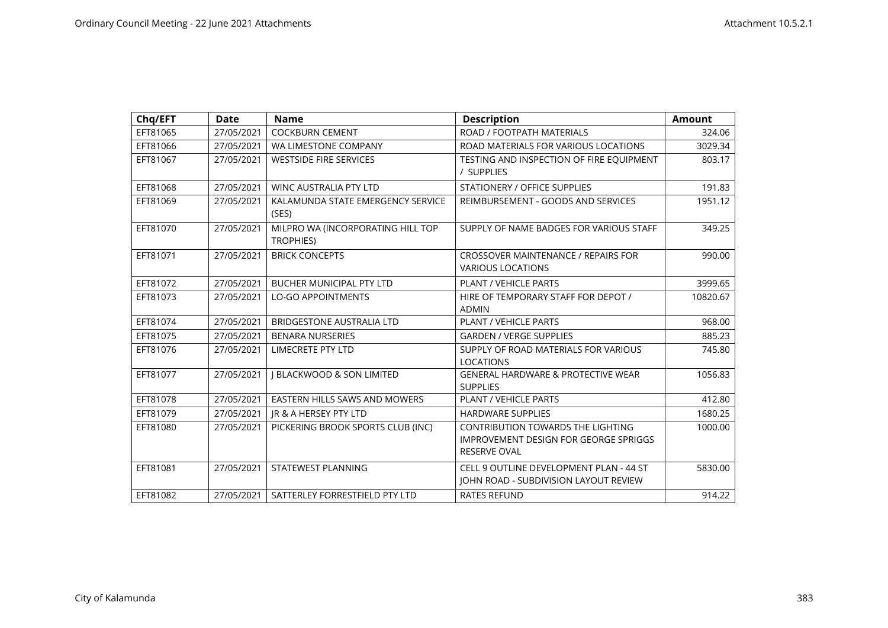| Chq/EFT  | <b>Date</b> | <b>Name</b>                                           | <b>Description</b>                                                                                       | Amount   |
|----------|-------------|-------------------------------------------------------|----------------------------------------------------------------------------------------------------------|----------|
| EFT81065 | 27/05/2021  | <b>COCKBURN CEMENT</b>                                | ROAD / FOOTPATH MATERIALS                                                                                | 324.06   |
| EFT81066 | 27/05/2021  | WA LIMESTONE COMPANY                                  | ROAD MATERIALS FOR VARIOUS LOCATIONS                                                                     | 3029.34  |
| EFT81067 | 27/05/2021  | <b>WESTSIDE FIRE SERVICES</b>                         | TESTING AND INSPECTION OF FIRE EQUIPMENT<br>/ SUPPLIES                                                   | 803.17   |
| EFT81068 | 27/05/2021  | <b>WINC AUSTRALIA PTY LTD</b>                         | STATIONERY / OFFICE SUPPLIES                                                                             | 191.83   |
| EFT81069 | 27/05/2021  | KALAMUNDA STATE EMERGENCY SERVICE<br>(SES)            | REIMBURSEMENT - GOODS AND SERVICES                                                                       | 1951.12  |
| EFT81070 | 27/05/2021  | MILPRO WA (INCORPORATING HILL TOP<br><b>TROPHIES)</b> | SUPPLY OF NAME BADGES FOR VARIOUS STAFF                                                                  | 349.25   |
| EFT81071 | 27/05/2021  | <b>BRICK CONCEPTS</b>                                 | CROSSOVER MAINTENANCE / REPAIRS FOR<br><b>VARIOUS LOCATIONS</b>                                          | 990.00   |
| EFT81072 | 27/05/2021  | BUCHER MUNICIPAL PTY LTD                              | <b>PLANT / VEHICLE PARTS</b>                                                                             | 3999.65  |
| EFT81073 | 27/05/2021  | <b>LO-GO APPOINTMENTS</b>                             | HIRE OF TEMPORARY STAFF FOR DEPOT /<br><b>ADMIN</b>                                                      | 10820.67 |
| EFT81074 | 27/05/2021  | <b>BRIDGESTONE AUSTRALIA LTD</b>                      | <b>PLANT / VEHICLE PARTS</b>                                                                             | 968.00   |
| EFT81075 | 27/05/2021  | <b>BENARA NURSERIES</b>                               | <b>GARDEN / VERGE SUPPLIES</b>                                                                           | 885.23   |
| EFT81076 | 27/05/2021  | <b>LIMECRETE PTY LTD</b>                              | SUPPLY OF ROAD MATERIALS FOR VARIOUS<br><b>LOCATIONS</b>                                                 | 745.80   |
| EFT81077 | 27/05/2021  | <b>I BLACKWOOD &amp; SON LIMITED</b>                  | <b>GENERAL HARDWARE &amp; PROTECTIVE WEAR</b><br><b>SUPPLIES</b>                                         | 1056.83  |
| EFT81078 | 27/05/2021  | <b>EASTERN HILLS SAWS AND MOWERS</b>                  | PLANT / VEHICLE PARTS                                                                                    | 412.80   |
| EFT81079 | 27/05/2021  | JR & A HERSEY PTY LTD                                 | <b>HARDWARE SUPPLIES</b>                                                                                 | 1680.25  |
| EFT81080 | 27/05/2021  | PICKERING BROOK SPORTS CLUB (INC)                     | <b>CONTRIBUTION TOWARDS THE LIGHTING</b><br>IMPROVEMENT DESIGN FOR GEORGE SPRIGGS<br><b>RESERVE OVAL</b> | 1000.00  |
| EFT81081 | 27/05/2021  | STATEWEST PLANNING                                    | CELL 9 OUTLINE DEVELOPMENT PLAN - 44 ST<br>JOHN ROAD - SUBDIVISION LAYOUT REVIEW                         | 5830.00  |
| EFT81082 | 27/05/2021  | SATTERLEY FORRESTFIELD PTY LTD                        | <b>RATES REFUND</b>                                                                                      | 914.22   |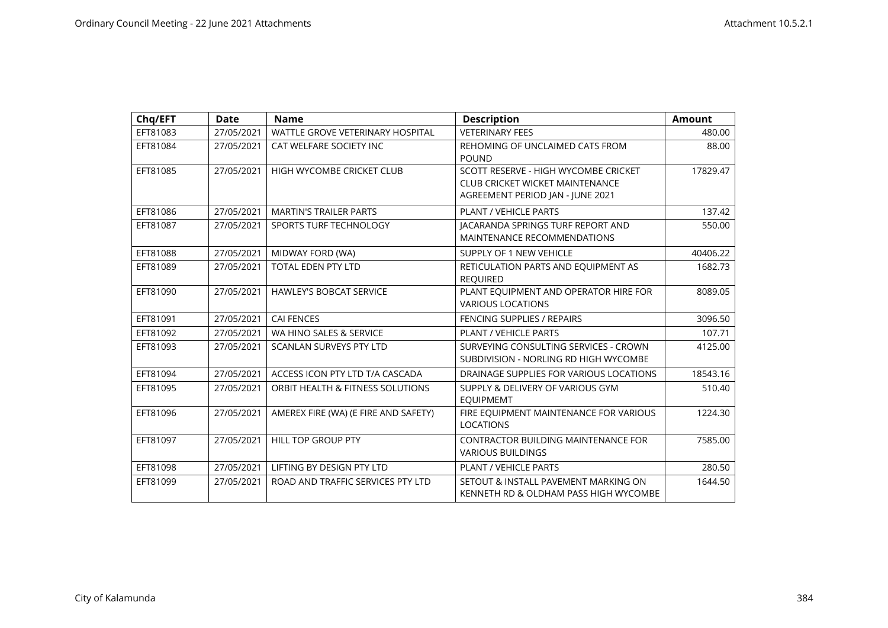| Chq/EFT  | <b>Date</b> | <b>Name</b>                          | <b>Description</b>                                                                                                 | <b>Amount</b> |
|----------|-------------|--------------------------------------|--------------------------------------------------------------------------------------------------------------------|---------------|
| EFT81083 | 27/05/2021  | WATTLE GROVE VETERINARY HOSPITAL     | <b>VETERINARY FEES</b>                                                                                             | 480.00        |
| EFT81084 | 27/05/2021  | CAT WELFARE SOCIETY INC              | REHOMING OF UNCLAIMED CATS FROM<br><b>POUND</b>                                                                    | 88.00         |
| EFT81085 | 27/05/2021  | HIGH WYCOMBE CRICKET CLUB            | SCOTT RESERVE - HIGH WYCOMBE CRICKET<br><b>CLUB CRICKET WICKET MAINTENANCE</b><br>AGREEMENT PERIOD JAN - JUNE 2021 | 17829.47      |
| EFT81086 | 27/05/2021  | <b>MARTIN'S TRAILER PARTS</b>        | PLANT / VEHICLE PARTS                                                                                              | 137.42        |
| EFT81087 | 27/05/2021  | SPORTS TURF TECHNOLOGY               | JACARANDA SPRINGS TURF REPORT AND<br>MAINTENANCE RECOMMENDATIONS                                                   | 550.00        |
| EFT81088 | 27/05/2021  | MIDWAY FORD (WA)                     | SUPPLY OF 1 NEW VEHICLE                                                                                            | 40406.22      |
| EFT81089 | 27/05/2021  | <b>TOTAL EDEN PTY LTD</b>            | RETICULATION PARTS AND EQUIPMENT AS<br><b>REQUIRED</b>                                                             | 1682.73       |
| EFT81090 | 27/05/2021  | <b>HAWLEY'S BOBCAT SERVICE</b>       | PLANT EQUIPMENT AND OPERATOR HIRE FOR<br><b>VARIOUS LOCATIONS</b>                                                  | 8089.05       |
| EFT81091 | 27/05/2021  | <b>CAI FENCES</b>                    | <b>FENCING SUPPLIES / REPAIRS</b>                                                                                  | 3096.50       |
| EFT81092 | 27/05/2021  | WA HINO SALES & SERVICE              | PLANT / VEHICLE PARTS                                                                                              | 107.71        |
| EFT81093 | 27/05/2021  | <b>SCANLAN SURVEYS PTY LTD</b>       | SURVEYING CONSULTING SERVICES - CROWN<br>SUBDIVISION - NORLING RD HIGH WYCOMBE                                     | 4125.00       |
| EFT81094 | 27/05/2021  | ACCESS ICON PTY LTD T/A CASCADA      | DRAINAGE SUPPLIES FOR VARIOUS LOCATIONS                                                                            | 18543.16      |
| EFT81095 | 27/05/2021  | ORBIT HEALTH & FITNESS SOLUTIONS     | SUPPLY & DELIVERY OF VARIOUS GYM<br><b>EQUIPMEMT</b>                                                               | 510.40        |
| EFT81096 | 27/05/2021  | AMEREX FIRE (WA) (E FIRE AND SAFETY) | FIRE EQUIPMENT MAINTENANCE FOR VARIOUS<br><b>LOCATIONS</b>                                                         | 1224.30       |
| EFT81097 | 27/05/2021  | HILL TOP GROUP PTY                   | <b>CONTRACTOR BUILDING MAINTENANCE FOR</b><br><b>VARIOUS BUILDINGS</b>                                             | 7585.00       |
| EFT81098 | 27/05/2021  | LIFTING BY DESIGN PTY LTD            | PLANT / VEHICLE PARTS                                                                                              | 280.50        |
| EFT81099 | 27/05/2021  | ROAD AND TRAFFIC SERVICES PTY LTD    | SETOUT & INSTALL PAVEMENT MARKING ON<br>KENNETH RD & OLDHAM PASS HIGH WYCOMBE                                      | 1644.50       |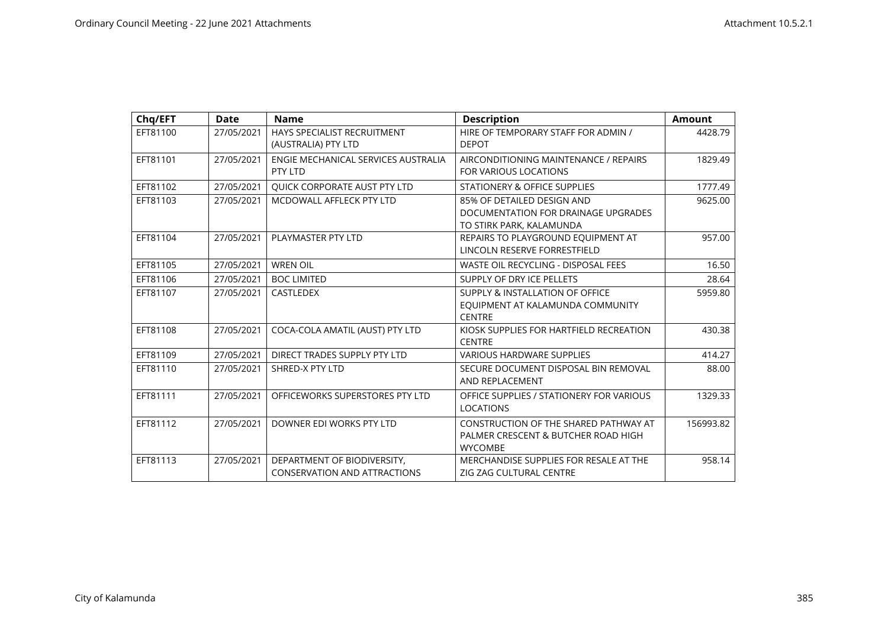| Chq/EFT  | <b>Date</b> | <b>Name</b>                                                        | <b>Description</b>                                                                             | <b>Amount</b> |
|----------|-------------|--------------------------------------------------------------------|------------------------------------------------------------------------------------------------|---------------|
| EFT81100 | 27/05/2021  | HAYS SPECIALIST RECRUITMENT<br>(AUSTRALIA) PTY LTD                 | HIRE OF TEMPORARY STAFF FOR ADMIN /<br><b>DEPOT</b>                                            | 4428.79       |
| EFT81101 | 27/05/2021  | ENGIE MECHANICAL SERVICES AUSTRALIA<br>PTY LTD                     | AIRCONDITIONING MAINTENANCE / REPAIRS<br>FOR VARIOUS LOCATIONS                                 | 1829.49       |
| EFT81102 | 27/05/2021  | QUICK CORPORATE AUST PTY LTD                                       | STATIONERY & OFFICE SUPPLIES                                                                   | 1777.49       |
| EFT81103 | 27/05/2021  | MCDOWALL AFFLECK PTY LTD                                           | 85% OF DETAILED DESIGN AND<br>DOCUMENTATION FOR DRAINAGE UPGRADES<br>TO STIRK PARK, KALAMUNDA  | 9625.00       |
| EFT81104 | 27/05/2021  | PLAYMASTER PTY LTD                                                 | REPAIRS TO PLAYGROUND EQUIPMENT AT<br>LINCOLN RESERVE FORRESTFIELD                             | 957.00        |
| EFT81105 | 27/05/2021  | <b>WREN OIL</b>                                                    | WASTE OIL RECYCLING - DISPOSAL FEES                                                            | 16.50         |
| EFT81106 | 27/05/2021  | <b>BOC LIMITED</b>                                                 | SUPPLY OF DRY ICE PELLETS                                                                      | 28.64         |
| EFT81107 | 27/05/2021  | <b>CASTLEDEX</b>                                                   | SUPPLY & INSTALLATION OF OFFICE<br>EQUIPMENT AT KALAMUNDA COMMUNITY<br><b>CENTRE</b>           | 5959.80       |
| EFT81108 | 27/05/2021  | COCA-COLA AMATIL (AUST) PTY LTD                                    | KIOSK SUPPLIES FOR HARTFIELD RECREATION<br><b>CENTRE</b>                                       | 430.38        |
| EFT81109 | 27/05/2021  | DIRECT TRADES SUPPLY PTY LTD                                       | <b>VARIOUS HARDWARE SUPPLIES</b>                                                               | 414.27        |
| EFT81110 | 27/05/2021  | SHRED-X PTY LTD                                                    | SECURE DOCUMENT DISPOSAL BIN REMOVAL<br>AND REPLACEMENT                                        | 88.00         |
| EFT81111 | 27/05/2021  | OFFICEWORKS SUPERSTORES PTY LTD                                    | OFFICE SUPPLIES / STATIONERY FOR VARIOUS<br><b>LOCATIONS</b>                                   | 1329.33       |
| EFT81112 | 27/05/2021  | DOWNER EDI WORKS PTY LTD                                           | CONSTRUCTION OF THE SHARED PATHWAY AT<br>PALMER CRESCENT & BUTCHER ROAD HIGH<br><b>WYCOMBE</b> | 156993.82     |
| EFT81113 | 27/05/2021  | DEPARTMENT OF BIODIVERSITY,<br><b>CONSERVATION AND ATTRACTIONS</b> | MERCHANDISE SUPPLIES FOR RESALE AT THE<br>ZIG ZAG CULTURAL CENTRE                              | 958.14        |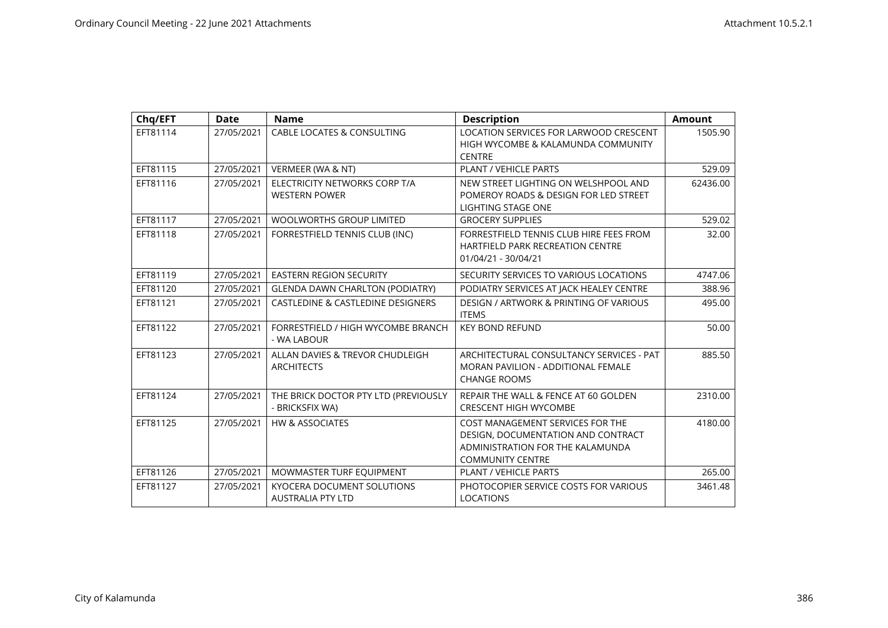| Chq/EFT  | <b>Date</b> | <b>Name</b>                                                   | <b>Description</b>                                                                                                                    | <b>Amount</b> |
|----------|-------------|---------------------------------------------------------------|---------------------------------------------------------------------------------------------------------------------------------------|---------------|
| EFT81114 | 27/05/2021  | CABLE LOCATES & CONSULTING                                    | LOCATION SERVICES FOR LARWOOD CRESCENT<br>HIGH WYCOMBE & KALAMUNDA COMMUNITY<br><b>CENTRE</b>                                         | 1505.90       |
| EFT81115 | 27/05/2021  | VERMEER (WA & NT)                                             | <b>PLANT / VEHICLE PARTS</b>                                                                                                          | 529.09        |
| EFT81116 | 27/05/2021  | ELECTRICITY NETWORKS CORP T/A<br><b>WESTERN POWER</b>         | NEW STREET LIGHTING ON WELSHPOOL AND<br>POMEROY ROADS & DESIGN FOR LED STREET<br>LIGHTING STAGE ONE                                   | 62436.00      |
| EFT81117 | 27/05/2021  | <b>WOOLWORTHS GROUP LIMITED</b>                               | <b>GROCERY SUPPLIES</b>                                                                                                               | 529.02        |
| EFT81118 | 27/05/2021  | FORRESTFIELD TENNIS CLUB (INC)                                | FORRESTFIELD TENNIS CLUB HIRE FEES FROM<br><b>HARTFIELD PARK RECREATION CENTRE</b><br>01/04/21 - 30/04/21                             | 32.00         |
| EFT81119 | 27/05/2021  | <b>EASTERN REGION SECURITY</b>                                | SECURITY SERVICES TO VARIOUS LOCATIONS                                                                                                | 4747.06       |
| EFT81120 | 27/05/2021  | <b>GLENDA DAWN CHARLTON (PODIATRY)</b>                        | PODIATRY SERVICES AT JACK HEALEY CENTRE                                                                                               | 388.96        |
| EFT81121 | 27/05/2021  | <b>CASTLEDINE &amp; CASTLEDINE DESIGNERS</b>                  | DESIGN / ARTWORK & PRINTING OF VARIOUS<br><b>ITEMS</b>                                                                                | 495.00        |
| EFT81122 | 27/05/2021  | FORRESTFIELD / HIGH WYCOMBE BRANCH<br>- WA LABOUR             | <b>KEY BOND REFUND</b>                                                                                                                | 50.00         |
| EFT81123 | 27/05/2021  | ALLAN DAVIES & TREVOR CHUDLEIGH<br><b>ARCHITECTS</b>          | ARCHITECTURAL CONSULTANCY SERVICES - PAT<br>MORAN PAVILION - ADDITIONAL FEMALE<br><b>CHANGE ROOMS</b>                                 | 885.50        |
| EFT81124 | 27/05/2021  | THE BRICK DOCTOR PTY LTD (PREVIOUSLY<br>- BRICKSFIX WA)       | REPAIR THE WALL & FENCE AT 60 GOLDEN<br><b>CRESCENT HIGH WYCOMBE</b>                                                                  | 2310.00       |
| EFT81125 | 27/05/2021  | <b>HW &amp; ASSOCIATES</b>                                    | COST MANAGEMENT SERVICES FOR THE<br>DESIGN, DOCUMENTATION AND CONTRACT<br>ADMINISTRATION FOR THE KALAMUNDA<br><b>COMMUNITY CENTRE</b> | 4180.00       |
| EFT81126 | 27/05/2021  | MOWMASTER TURF EQUIPMENT                                      | <b>PLANT / VEHICLE PARTS</b>                                                                                                          | 265.00        |
| EFT81127 | 27/05/2021  | <b>KYOCERA DOCUMENT SOLUTIONS</b><br><b>AUSTRALIA PTY LTD</b> | PHOTOCOPIER SERVICE COSTS FOR VARIOUS<br><b>LOCATIONS</b>                                                                             | 3461.48       |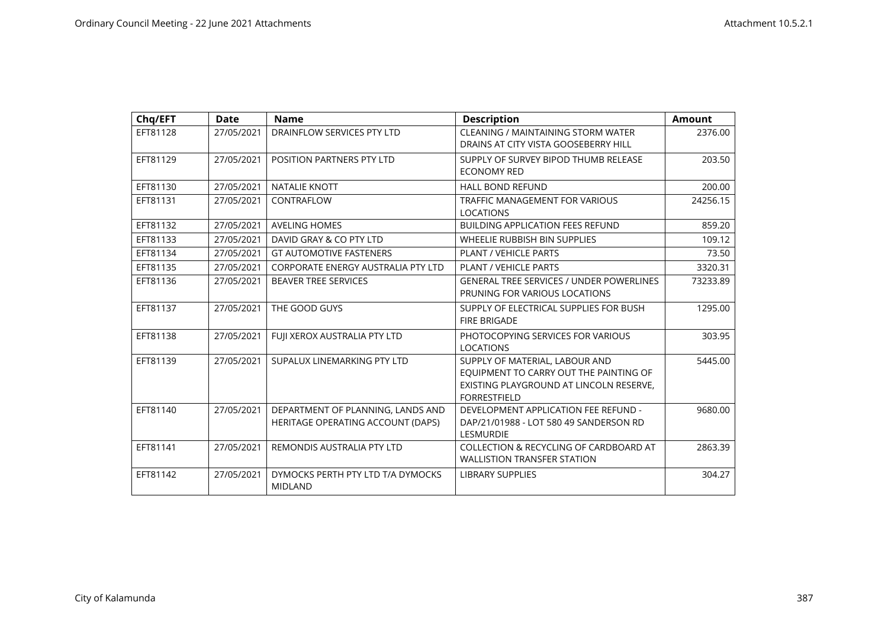| Chq/EFT  | <b>Date</b> | <b>Name</b>                                                            | <b>Description</b>                                                                                                                         | <b>Amount</b> |
|----------|-------------|------------------------------------------------------------------------|--------------------------------------------------------------------------------------------------------------------------------------------|---------------|
| EFT81128 | 27/05/2021  | DRAINFLOW SERVICES PTY LTD                                             | CLEANING / MAINTAINING STORM WATER<br>DRAINS AT CITY VISTA GOOSEBERRY HILL                                                                 | 2376.00       |
| EFT81129 | 27/05/2021  | POSITION PARTNERS PTY LTD                                              | SUPPLY OF SURVEY BIPOD THUMB RELEASE<br><b>ECONOMY RED</b>                                                                                 | 203.50        |
| EFT81130 | 27/05/2021  | <b>NATALIE KNOTT</b>                                                   | <b>HALL BOND REFUND</b>                                                                                                                    | 200.00        |
| EFT81131 | 27/05/2021  | CONTRAFLOW                                                             | <b>TRAFFIC MANAGEMENT FOR VARIOUS</b><br><b>LOCATIONS</b>                                                                                  | 24256.15      |
| EFT81132 | 27/05/2021  | <b>AVELING HOMES</b>                                                   | <b>BUILDING APPLICATION FEES REFUND</b>                                                                                                    | 859.20        |
| EFT81133 | 27/05/2021  | DAVID GRAY & CO PTY LTD                                                | WHEELIE RUBBISH BIN SUPPLIES                                                                                                               | 109.12        |
| EFT81134 | 27/05/2021  | <b>GT AUTOMOTIVE FASTENERS</b>                                         | PLANT / VEHICLE PARTS                                                                                                                      | 73.50         |
| EFT81135 | 27/05/2021  | <b>CORPORATE ENERGY AUSTRALIA PTY LTD</b>                              | PLANT / VEHICLE PARTS                                                                                                                      | 3320.31       |
| EFT81136 | 27/05/2021  | <b>BEAVER TREE SERVICES</b>                                            | <b>GENERAL TREE SERVICES / UNDER POWERLINES</b><br>PRUNING FOR VARIOUS LOCATIONS                                                           | 73233.89      |
| EFT81137 | 27/05/2021  | THE GOOD GUYS                                                          | SUPPLY OF ELECTRICAL SUPPLIES FOR BUSH<br><b>FIRE BRIGADE</b>                                                                              | 1295.00       |
| EFT81138 | 27/05/2021  | FUJI XEROX AUSTRALIA PTY LTD                                           | PHOTOCOPYING SERVICES FOR VARIOUS<br><b>LOCATIONS</b>                                                                                      | 303.95        |
| EFT81139 | 27/05/2021  | SUPALUX LINEMARKING PTY LTD                                            | SUPPLY OF MATERIAL, LABOUR AND<br>EQUIPMENT TO CARRY OUT THE PAINTING OF<br>EXISTING PLAYGROUND AT LINCOLN RESERVE,<br><b>FORRESTFIELD</b> | 5445.00       |
| EFT81140 | 27/05/2021  | DEPARTMENT OF PLANNING, LANDS AND<br>HERITAGE OPERATING ACCOUNT (DAPS) | DEVELOPMENT APPLICATION FEE REFUND -<br>DAP/21/01988 - LOT 580 49 SANDERSON RD<br><b>LESMURDIE</b>                                         | 9680.00       |
| EFT81141 | 27/05/2021  | REMONDIS AUSTRALIA PTY LTD                                             | COLLECTION & RECYCLING OF CARDBOARD AT<br><b>WALLISTION TRANSFER STATION</b>                                                               | 2863.39       |
| EFT81142 | 27/05/2021  | DYMOCKS PERTH PTY LTD T/A DYMOCKS<br><b>MIDLAND</b>                    | <b>LIBRARY SUPPLIES</b>                                                                                                                    | 304.27        |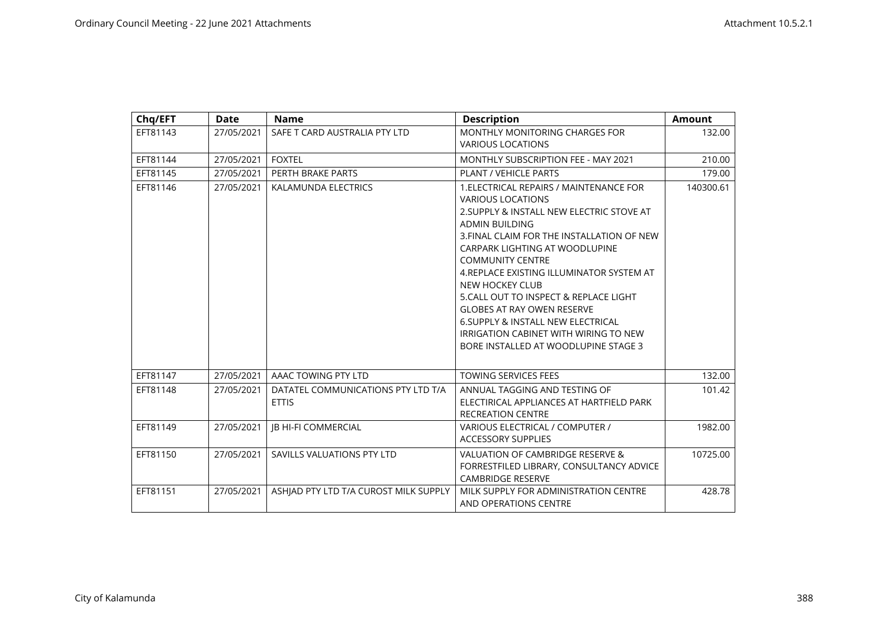| Chq/EFT  | <b>Date</b> | <b>Name</b>                                        | <b>Description</b>                                                                                                                                                                                                                                                                                                                                                                                                                                                                                                                    | <b>Amount</b> |
|----------|-------------|----------------------------------------------------|---------------------------------------------------------------------------------------------------------------------------------------------------------------------------------------------------------------------------------------------------------------------------------------------------------------------------------------------------------------------------------------------------------------------------------------------------------------------------------------------------------------------------------------|---------------|
| EFT81143 | 27/05/2021  | SAFE T CARD AUSTRALIA PTY LTD                      | MONTHLY MONITORING CHARGES FOR<br><b>VARIOUS LOCATIONS</b>                                                                                                                                                                                                                                                                                                                                                                                                                                                                            | 132.00        |
| EFT81144 | 27/05/2021  | <b>FOXTEL</b>                                      | MONTHLY SUBSCRIPTION FEE - MAY 2021                                                                                                                                                                                                                                                                                                                                                                                                                                                                                                   | 210.00        |
| EFT81145 | 27/05/2021  | PERTH BRAKE PARTS                                  | PLANT / VEHICLE PARTS                                                                                                                                                                                                                                                                                                                                                                                                                                                                                                                 | 179.00        |
| EFT81146 | 27/05/2021  | KALAMUNDA ELECTRICS                                | 1. ELECTRICAL REPAIRS / MAINTENANCE FOR<br><b>VARIOUS LOCATIONS</b><br>2. SUPPLY & INSTALL NEW ELECTRIC STOVE AT<br><b>ADMIN BUILDING</b><br>3. FINAL CLAIM FOR THE INSTALLATION OF NEW<br>CARPARK LIGHTING AT WOODLUPINE<br><b>COMMUNITY CENTRE</b><br>4. REPLACE EXISTING ILLUMINATOR SYSTEM AT<br>NEW HOCKEY CLUB<br>5. CALL OUT TO INSPECT & REPLACE LIGHT<br><b>GLOBES AT RAY OWEN RESERVE</b><br><b>6. SUPPLY &amp; INSTALL NEW ELECTRICAL</b><br>IRRIGATION CABINET WITH WIRING TO NEW<br>BORE INSTALLED AT WOODLUPINE STAGE 3 | 140300.61     |
| EFT81147 | 27/05/2021  | AAAC TOWING PTY LTD                                | <b>TOWING SERVICES FEES</b>                                                                                                                                                                                                                                                                                                                                                                                                                                                                                                           | 132.00        |
| EFT81148 | 27/05/2021  | DATATEL COMMUNICATIONS PTY LTD T/A<br><b>ETTIS</b> | ANNUAL TAGGING AND TESTING OF<br>ELECTIRICAL APPLIANCES AT HARTFIELD PARK<br><b>RECREATION CENTRE</b>                                                                                                                                                                                                                                                                                                                                                                                                                                 | 101.42        |
| EFT81149 | 27/05/2021  | JB HI-FI COMMERCIAL                                | VARIOUS ELECTRICAL / COMPUTER /<br><b>ACCESSORY SUPPLIES</b>                                                                                                                                                                                                                                                                                                                                                                                                                                                                          | 1982.00       |
| EFT81150 | 27/05/2021  | SAVILLS VALUATIONS PTY LTD                         | VALUATION OF CAMBRIDGE RESERVE &<br>FORRESTFILED LIBRARY, CONSULTANCY ADVICE<br><b>CAMBRIDGE RESERVE</b>                                                                                                                                                                                                                                                                                                                                                                                                                              | 10725.00      |
| EFT81151 | 27/05/2021  | ASHJAD PTY LTD T/A CUROST MILK SUPPLY              | MILK SUPPLY FOR ADMINISTRATION CENTRE<br>AND OPERATIONS CENTRE                                                                                                                                                                                                                                                                                                                                                                                                                                                                        | 428.78        |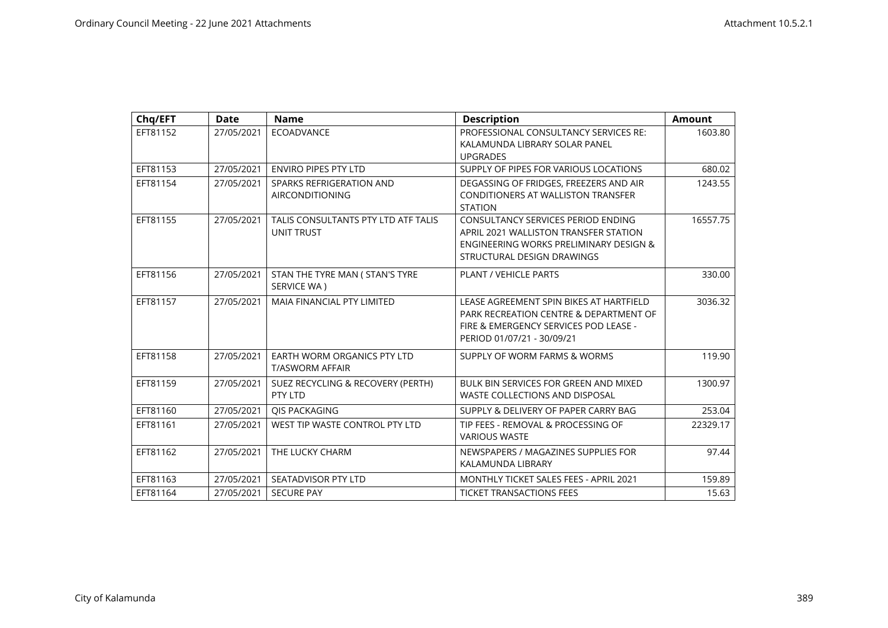| Chq/EFT  | <b>Date</b> | <b>Name</b>                                              | <b>Description</b>                                                                                                                                             | <b>Amount</b> |
|----------|-------------|----------------------------------------------------------|----------------------------------------------------------------------------------------------------------------------------------------------------------------|---------------|
| EFT81152 | 27/05/2021  | <b>ECOADVANCE</b>                                        | PROFESSIONAL CONSULTANCY SERVICES RE:<br>KALAMUNDA LIBRARY SOLAR PANEL                                                                                         | 1603.80       |
|          |             |                                                          | <b>UPGRADES</b>                                                                                                                                                |               |
| EFT81153 | 27/05/2021  | <b>ENVIRO PIPES PTY LTD</b>                              | SUPPLY OF PIPES FOR VARIOUS LOCATIONS                                                                                                                          | 680.02        |
| EFT81154 | 27/05/2021  | SPARKS REFRIGERATION AND<br><b>AIRCONDITIONING</b>       | DEGASSING OF FRIDGES, FREEZERS AND AIR<br>CONDITIONERS AT WALLISTON TRANSFER<br><b>STATION</b>                                                                 | 1243.55       |
| EFT81155 | 27/05/2021  | TALIS CONSULTANTS PTY LTD ATF TALIS<br><b>UNIT TRUST</b> | CONSULTANCY SERVICES PERIOD ENDING<br>APRIL 2021 WALLISTON TRANSFER STATION<br><b>ENGINEERING WORKS PRELIMINARY DESIGN &amp;</b><br>STRUCTURAL DESIGN DRAWINGS | 16557.75      |
| EFT81156 | 27/05/2021  | STAN THE TYRE MAN ( STAN'S TYRE<br>SERVICE WA)           | <b>PLANT / VEHICLE PARTS</b>                                                                                                                                   | 330.00        |
| EFT81157 | 27/05/2021  | <b>MAIA FINANCIAL PTY LIMITED</b>                        | LEASE AGREEMENT SPIN BIKES AT HARTFIELD<br>PARK RECREATION CENTRE & DEPARTMENT OF<br>FIRE & EMERGENCY SERVICES POD LEASE -<br>PERIOD 01/07/21 - 30/09/21       | 3036.32       |
| EFT81158 | 27/05/2021  | EARTH WORM ORGANICS PTY LTD<br><b>T/ASWORM AFFAIR</b>    | SUPPLY OF WORM FARMS & WORMS                                                                                                                                   | 119.90        |
| EFT81159 | 27/05/2021  | SUEZ RECYCLING & RECOVERY (PERTH)<br>PTY LTD             | BULK BIN SERVICES FOR GREEN AND MIXED<br>WASTE COLLECTIONS AND DISPOSAL                                                                                        | 1300.97       |
| EFT81160 | 27/05/2021  | <b>OIS PACKAGING</b>                                     | SUPPLY & DELIVERY OF PAPER CARRY BAG                                                                                                                           | 253.04        |
| EFT81161 | 27/05/2021  | WEST TIP WASTE CONTROL PTY LTD                           | TIP FEES - REMOVAL & PROCESSING OF<br><b>VARIOUS WASTE</b>                                                                                                     | 22329.17      |
| EFT81162 | 27/05/2021  | THE LUCKY CHARM                                          | NEWSPAPERS / MAGAZINES SUPPLIES FOR<br>KALAMUNDA LIBRARY                                                                                                       | 97.44         |
| EFT81163 | 27/05/2021  | SEATADVISOR PTY LTD                                      | <b>MONTHLY TICKET SALES FEES - APRIL 2021</b>                                                                                                                  | 159.89        |
| EFT81164 | 27/05/2021  | <b>SECURE PAY</b>                                        | <b>TICKET TRANSACTIONS FEES</b>                                                                                                                                | 15.63         |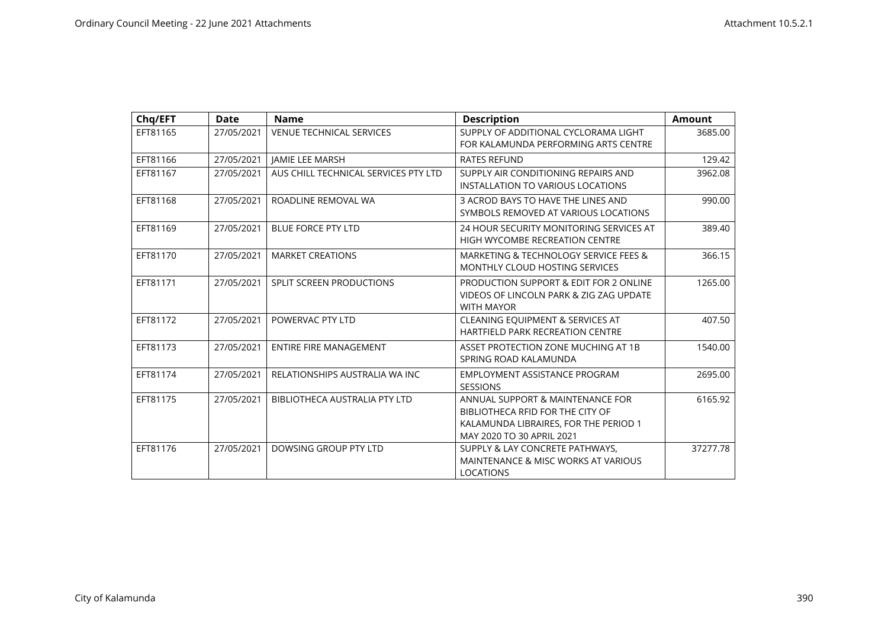| Chq/EFT  | <b>Date</b> | <b>Name</b>                          | <b>Description</b>                                                                                                                         | <b>Amount</b> |
|----------|-------------|--------------------------------------|--------------------------------------------------------------------------------------------------------------------------------------------|---------------|
| EFT81165 | 27/05/2021  | <b>VENUE TECHNICAL SERVICES</b>      | SUPPLY OF ADDITIONAL CYCLORAMA LIGHT<br>FOR KALAMUNDA PERFORMING ARTS CENTRE                                                               | 3685.00       |
| EFT81166 | 27/05/2021  | <b>JAMIE LEE MARSH</b>               | <b>RATES REFUND</b>                                                                                                                        | 129.42        |
| EFT81167 | 27/05/2021  | AUS CHILL TECHNICAL SERVICES PTY LTD | SUPPLY AIR CONDITIONING REPAIRS AND<br><b>INSTALLATION TO VARIOUS LOCATIONS</b>                                                            | 3962.08       |
| EFT81168 | 27/05/2021  | ROADLINE REMOVAL WA                  | 3 ACROD BAYS TO HAVE THE LINES AND<br>SYMBOLS REMOVED AT VARIOUS LOCATIONS                                                                 | 990.00        |
| EFT81169 | 27/05/2021  | <b>BLUE FORCE PTY LTD</b>            | 24 HOUR SECURITY MONITORING SERVICES AT<br>HIGH WYCOMBE RECREATION CENTRE                                                                  | 389.40        |
| EFT81170 | 27/05/2021  | <b>MARKET CREATIONS</b>              | MARKETING & TECHNOLOGY SERVICE FEES &<br>MONTHLY CLOUD HOSTING SERVICES                                                                    | 366.15        |
| EFT81171 | 27/05/2021  | <b>SPLIT SCREEN PRODUCTIONS</b>      | PRODUCTION SUPPORT & EDIT FOR 2 ONLINE<br>VIDEOS OF LINCOLN PARK & ZIG ZAG UPDATE<br><b>WITH MAYOR</b>                                     | 1265.00       |
| EFT81172 | 27/05/2021  | POWERVAC PTY LTD                     | <b>CLEANING EQUIPMENT &amp; SERVICES AT</b><br><b>HARTFIELD PARK RECREATION CENTRE</b>                                                     | 407.50        |
| EFT81173 | 27/05/2021  | <b>ENTIRE FIRE MANAGEMENT</b>        | ASSET PROTECTION ZONE MUCHING AT 1B<br>SPRING ROAD KALAMUNDA                                                                               | 1540.00       |
| EFT81174 | 27/05/2021  | RELATIONSHIPS AUSTRALIA WA INC       | EMPLOYMENT ASSISTANCE PROGRAM<br><b>SESSIONS</b>                                                                                           | 2695.00       |
| EFT81175 | 27/05/2021  | BIBLIOTHECA AUSTRALIA PTY LTD        | ANNUAL SUPPORT & MAINTENANCE FOR<br>BIBLIOTHECA RFID FOR THE CITY OF<br>KALAMUNDA LIBRAIRES, FOR THE PERIOD 1<br>MAY 2020 TO 30 APRIL 2021 | 6165.92       |
| EFT81176 | 27/05/2021  | DOWSING GROUP PTY LTD                | SUPPLY & LAY CONCRETE PATHWAYS,<br>MAINTENANCE & MISC WORKS AT VARIOUS<br><b>LOCATIONS</b>                                                 | 37277.78      |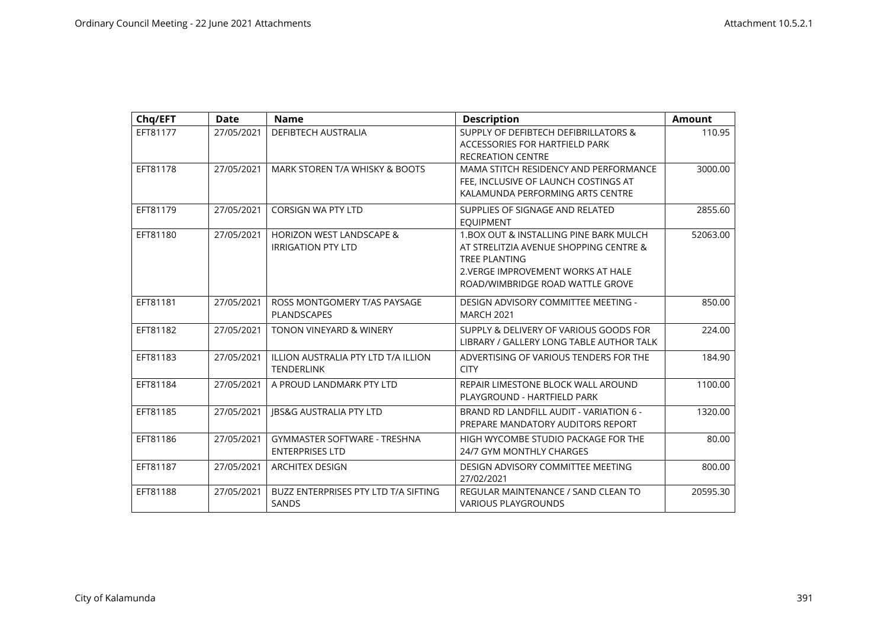| Chq/EFT  | <b>Date</b> | <b>Name</b>                                                      | <b>Description</b>                                                                                                                                                                  | <b>Amount</b> |
|----------|-------------|------------------------------------------------------------------|-------------------------------------------------------------------------------------------------------------------------------------------------------------------------------------|---------------|
| EFT81177 | 27/05/2021  | <b>DEFIBTECH AUSTRALIA</b>                                       | SUPPLY OF DEFIBTECH DEFIBRILLATORS &<br>ACCESSORIES FOR HARTFIELD PARK<br><b>RECREATION CENTRE</b>                                                                                  | 110.95        |
| EFT81178 | 27/05/2021  | MARK STOREN T/A WHISKY & BOOTS                                   | MAMA STITCH RESIDENCY AND PERFORMANCE<br>FEE. INCLUSIVE OF LAUNCH COSTINGS AT<br>KALAMUNDA PERFORMING ARTS CENTRE                                                                   | 3000.00       |
| EFT81179 | 27/05/2021  | <b>CORSIGN WA PTY LTD</b>                                        | SUPPLIES OF SIGNAGE AND RELATED<br><b>EQUIPMENT</b>                                                                                                                                 | 2855.60       |
| EFT81180 | 27/05/2021  | <b>HORIZON WEST LANDSCAPE &amp;</b><br><b>IRRIGATION PTY LTD</b> | 1. BOX OUT & INSTALLING PINE BARK MULCH<br>AT STRELITZIA AVENUE SHOPPING CENTRE &<br><b>TREE PLANTING</b><br>2. VERGE IMPROVEMENT WORKS AT HALE<br>ROAD/WIMBRIDGE ROAD WATTLE GROVE | 52063.00      |
| EFT81181 | 27/05/2021  | ROSS MONTGOMERY T/AS PAYSAGE<br>PLANDSCAPES                      | DESIGN ADVISORY COMMITTEE MEETING -<br><b>MARCH 2021</b>                                                                                                                            | 850.00        |
| EFT81182 | 27/05/2021  | <b>TONON VINEYARD &amp; WINERY</b>                               | SUPPLY & DELIVERY OF VARIOUS GOODS FOR<br>LIBRARY / GALLERY LONG TABLE AUTHOR TALK                                                                                                  | 224.00        |
| EFT81183 | 27/05/2021  | ILLION AUSTRALIA PTY LTD T/A ILLION<br><b>TENDERLINK</b>         | ADVERTISING OF VARIOUS TENDERS FOR THE<br><b>CITY</b>                                                                                                                               | 184.90        |
| EFT81184 | 27/05/2021  | A PROUD LANDMARK PTY LTD                                         | REPAIR LIMESTONE BLOCK WALL AROUND<br>PLAYGROUND - HARTFIELD PARK                                                                                                                   | 1100.00       |
| EFT81185 | 27/05/2021  | <b>JBS&amp;G AUSTRALIA PTY LTD</b>                               | BRAND RD LANDFILL AUDIT - VARIATION 6 -<br>PREPARE MANDATORY AUDITORS REPORT                                                                                                        | 1320.00       |
| EFT81186 | 27/05/2021  | <b>GYMMASTER SOFTWARE - TRESHNA</b><br><b>ENTERPRISES LTD</b>    | HIGH WYCOMBE STUDIO PACKAGE FOR THE<br>24/7 GYM MONTHLY CHARGES                                                                                                                     | 80.00         |
| EFT81187 | 27/05/2021  | <b>ARCHITEX DESIGN</b>                                           | DESIGN ADVISORY COMMITTEE MEETING<br>27/02/2021                                                                                                                                     | 800.00        |
| EFT81188 | 27/05/2021  | BUZZ ENTERPRISES PTY LTD T/A SIFTING<br><b>SANDS</b>             | REGULAR MAINTENANCE / SAND CLEAN TO<br><b>VARIOUS PLAYGROUNDS</b>                                                                                                                   | 20595.30      |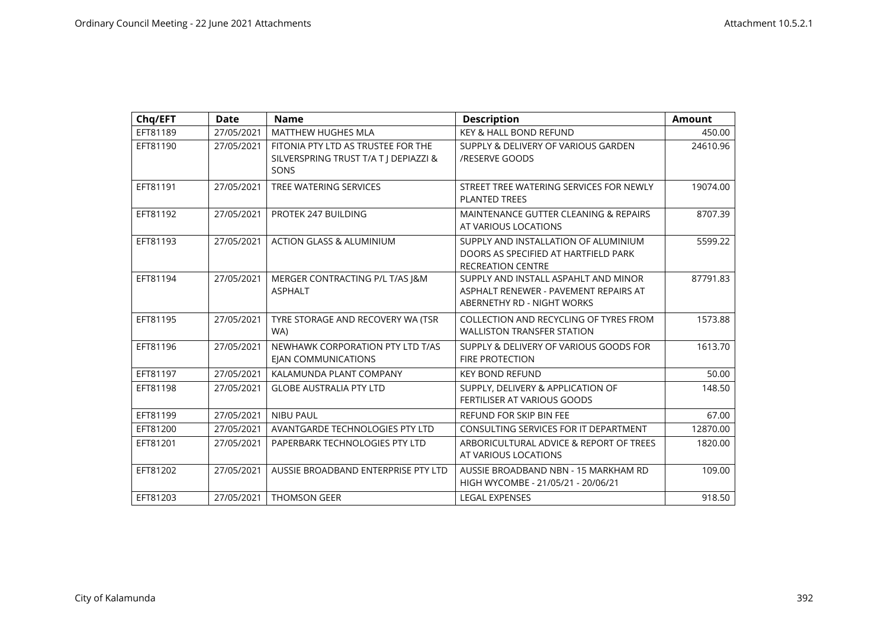| Chq/EFT  | <b>Date</b> | <b>Name</b>                                                                         | <b>Description</b>                                                                                          | <b>Amount</b> |
|----------|-------------|-------------------------------------------------------------------------------------|-------------------------------------------------------------------------------------------------------------|---------------|
| EFT81189 | 27/05/2021  | <b>MATTHEW HUGHES MLA</b>                                                           | <b>KEY &amp; HALL BOND REFUND</b>                                                                           | 450.00        |
| EFT81190 | 27/05/2021  | FITONIA PTY LTD AS TRUSTEE FOR THE<br>SILVERSPRING TRUST T/A T J DEPIAZZI &<br>SONS | SUPPLY & DELIVERY OF VARIOUS GARDEN<br>/RESERVE GOODS                                                       | 24610.96      |
| EFT81191 | 27/05/2021  | TREE WATERING SERVICES                                                              | STREET TREE WATERING SERVICES FOR NEWLY<br><b>PLANTED TREES</b>                                             | 19074.00      |
| EFT81192 | 27/05/2021  | PROTEK 247 BUILDING                                                                 | MAINTENANCE GUTTER CLEANING & REPAIRS<br>AT VARIOUS LOCATIONS                                               | 8707.39       |
| EFT81193 | 27/05/2021  | <b>ACTION GLASS &amp; ALUMINIUM</b>                                                 | SUPPLY AND INSTALLATION OF ALUMINIUM<br>DOORS AS SPECIFIED AT HARTFIELD PARK<br><b>RECREATION CENTRE</b>    | 5599.22       |
| EFT81194 | 27/05/2021  | MERGER CONTRACTING P/L T/AS J&M<br><b>ASPHALT</b>                                   | SUPPLY AND INSTALL ASPAHLT AND MINOR<br>ASPHALT RENEWER - PAVEMENT REPAIRS AT<br>ABERNETHY RD - NIGHT WORKS | 87791.83      |
| EFT81195 | 27/05/2021  | TYRE STORAGE AND RECOVERY WA (TSR<br>WA)                                            | COLLECTION AND RECYCLING OF TYRES FROM<br><b>WALLISTON TRANSFER STATION</b>                                 | 1573.88       |
| EFT81196 | 27/05/2021  | NEWHAWK CORPORATION PTY LTD T/AS<br><b>EIAN COMMUNICATIONS</b>                      | SUPPLY & DELIVERY OF VARIOUS GOODS FOR<br><b>FIRE PROTECTION</b>                                            | 1613.70       |
| EFT81197 | 27/05/2021  | KALAMUNDA PLANT COMPANY                                                             | <b>KEY BOND REFUND</b>                                                                                      | 50.00         |
| EFT81198 | 27/05/2021  | <b>GLOBE AUSTRALIA PTY LTD</b>                                                      | SUPPLY, DELIVERY & APPLICATION OF<br><b>FERTILISER AT VARIOUS GOODS</b>                                     | 148.50        |
| EFT81199 | 27/05/2021  | <b>NIBU PAUL</b>                                                                    | REFUND FOR SKIP BIN FEE                                                                                     | 67.00         |
| EFT81200 | 27/05/2021  | AVANTGARDE TECHNOLOGIES PTY LTD                                                     | CONSULTING SERVICES FOR IT DEPARTMENT                                                                       | 12870.00      |
| EFT81201 | 27/05/2021  | PAPERBARK TECHNOLOGIES PTY LTD                                                      | ARBORICULTURAL ADVICE & REPORT OF TREES<br>AT VARIOUS LOCATIONS                                             | 1820.00       |
| EFT81202 | 27/05/2021  | AUSSIE BROADBAND ENTERPRISE PTY LTD                                                 | AUSSIE BROADBAND NBN - 15 MARKHAM RD<br>HIGH WYCOMBE - 21/05/21 - 20/06/21                                  | 109.00        |
| EFT81203 | 27/05/2021  | <b>THOMSON GEER</b>                                                                 | <b>LEGAL EXPENSES</b>                                                                                       | 918.50        |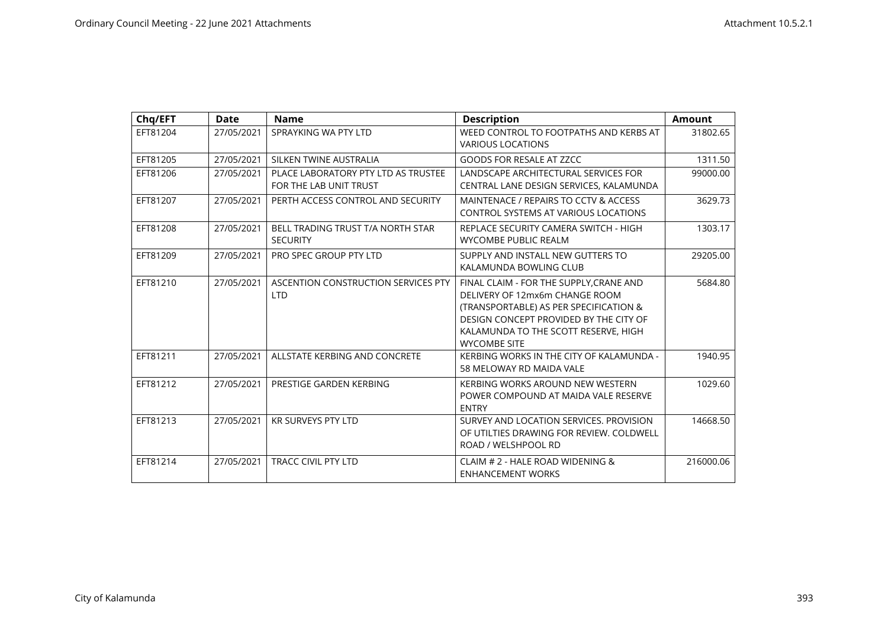| Chq/EFT  | Date       | <b>Name</b>                                                   | <b>Description</b>                                                                                                                                                                                                           | <b>Amount</b> |
|----------|------------|---------------------------------------------------------------|------------------------------------------------------------------------------------------------------------------------------------------------------------------------------------------------------------------------------|---------------|
| EFT81204 | 27/05/2021 | SPRAYKING WA PTY LTD                                          | WEED CONTROL TO FOOTPATHS AND KERBS AT<br><b>VARIOUS LOCATIONS</b>                                                                                                                                                           | 31802.65      |
| EFT81205 | 27/05/2021 | SILKEN TWINE AUSTRALIA                                        | <b>GOODS FOR RESALE AT ZZCC</b>                                                                                                                                                                                              | 1311.50       |
| EFT81206 | 27/05/2021 | PLACE LABORATORY PTY LTD AS TRUSTEE<br>FOR THE LAB UNIT TRUST | LANDSCAPE ARCHITECTURAL SERVICES FOR<br>CENTRAL LANE DESIGN SERVICES, KALAMUNDA                                                                                                                                              | 99000.00      |
| EFT81207 | 27/05/2021 | PERTH ACCESS CONTROL AND SECURITY                             | MAINTENACE / REPAIRS TO CCTV & ACCESS<br><b>CONTROL SYSTEMS AT VARIOUS LOCATIONS</b>                                                                                                                                         | 3629.73       |
| EFT81208 | 27/05/2021 | BELL TRADING TRUST T/A NORTH STAR<br><b>SECURITY</b>          | REPLACE SECURITY CAMERA SWITCH - HIGH<br><b>WYCOMBE PUBLIC REALM</b>                                                                                                                                                         | 1303.17       |
| EFT81209 | 27/05/2021 | PRO SPEC GROUP PTY LTD                                        | SUPPLY AND INSTALL NEW GUTTERS TO<br>KALAMUNDA BOWLING CLUB                                                                                                                                                                  | 29205.00      |
| EFT81210 | 27/05/2021 | ASCENTION CONSTRUCTION SERVICES PTY<br><b>LTD</b>             | FINAL CLAIM - FOR THE SUPPLY, CRANE AND<br>DELIVERY OF 12mx6m CHANGE ROOM<br>(TRANSPORTABLE) AS PER SPECIFICATION &<br>DESIGN CONCEPT PROVIDED BY THE CITY OF<br>KALAMUNDA TO THE SCOTT RESERVE, HIGH<br><b>WYCOMBE SITE</b> | 5684.80       |
| EFT81211 | 27/05/2021 | ALLSTATE KERBING AND CONCRETE                                 | KERBING WORKS IN THE CITY OF KALAMUNDA -<br>58 MELOWAY RD MAIDA VALE                                                                                                                                                         | 1940.95       |
| EFT81212 | 27/05/2021 | PRESTIGE GARDEN KERBING                                       | KERBING WORKS AROUND NEW WESTERN<br>POWER COMPOUND AT MAIDA VALE RESERVE<br><b>ENTRY</b>                                                                                                                                     | 1029.60       |
| EFT81213 | 27/05/2021 | <b>KR SURVEYS PTY LTD</b>                                     | SURVEY AND LOCATION SERVICES. PROVISION<br>OF UTILTIES DRAWING FOR REVIEW. COLDWELL<br>ROAD / WELSHPOOL RD                                                                                                                   | 14668.50      |
| EFT81214 | 27/05/2021 | <b>TRACC CIVIL PTY LTD</b>                                    | CLAIM # 2 - HALE ROAD WIDENING &<br><b>ENHANCEMENT WORKS</b>                                                                                                                                                                 | 216000.06     |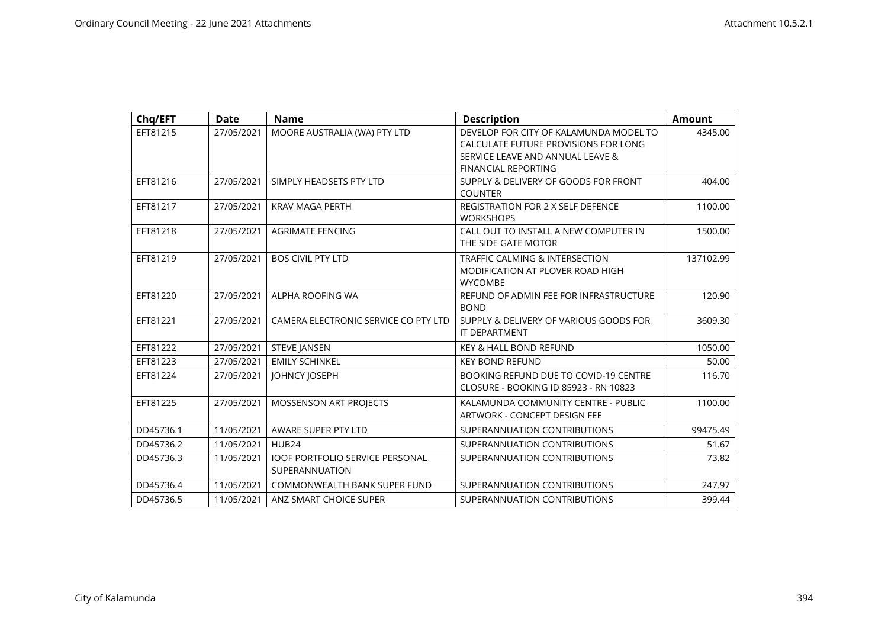| Chq/EFT   | <b>Date</b> | <b>Name</b>                            | <b>Description</b>                        | <b>Amount</b> |
|-----------|-------------|----------------------------------------|-------------------------------------------|---------------|
| EFT81215  | 27/05/2021  | MOORE AUSTRALIA (WA) PTY LTD           | DEVELOP FOR CITY OF KALAMUNDA MODEL TO    | 4345.00       |
|           |             |                                        | CALCULATE FUTURE PROVISIONS FOR LONG      |               |
|           |             |                                        | SERVICE LEAVE AND ANNUAL LEAVE &          |               |
|           |             |                                        | <b>FINANCIAL REPORTING</b>                |               |
| EFT81216  | 27/05/2021  | SIMPLY HEADSETS PTY LTD                | SUPPLY & DELIVERY OF GOODS FOR FRONT      | 404.00        |
|           |             |                                        | <b>COUNTER</b>                            |               |
| EFT81217  | 27/05/2021  | <b>KRAV MAGA PERTH</b>                 | <b>REGISTRATION FOR 2 X SELF DEFENCE</b>  | 1100.00       |
|           |             |                                        | <b>WORKSHOPS</b>                          |               |
| EFT81218  | 27/05/2021  | <b>AGRIMATE FENCING</b>                | CALL OUT TO INSTALL A NEW COMPUTER IN     | 1500.00       |
|           |             |                                        | THE SIDE GATE MOTOR                       |               |
| EFT81219  | 27/05/2021  | <b>BOS CIVIL PTY LTD</b>               | <b>TRAFFIC CALMING &amp; INTERSECTION</b> | 137102.99     |
|           |             |                                        | MODIFICATION AT PLOVER ROAD HIGH          |               |
|           |             |                                        | <b>WYCOMBE</b>                            |               |
| EFT81220  | 27/05/2021  | ALPHA ROOFING WA                       | REFUND OF ADMIN FEE FOR INFRASTRUCTURE    | 120.90        |
|           |             |                                        | <b>BOND</b>                               |               |
| EFT81221  | 27/05/2021  | CAMERA ELECTRONIC SERVICE CO PTY LTD   | SUPPLY & DELIVERY OF VARIOUS GOODS FOR    | 3609.30       |
|           |             |                                        | <b>IT DEPARTMENT</b>                      |               |
| EFT81222  | 27/05/2021  | <b>STEVE JANSEN</b>                    | <b>KEY &amp; HALL BOND REFUND</b>         | 1050.00       |
| EFT81223  | 27/05/2021  | <b>EMILY SCHINKEL</b>                  | <b>KEY BOND REFUND</b>                    | 50.00         |
| EFT81224  | 27/05/2021  | JOHNCY JOSEPH                          | BOOKING REFUND DUE TO COVID-19 CENTRE     | 116.70        |
|           |             |                                        | CLOSURE - BOOKING ID 85923 - RN 10823     |               |
| EFT81225  | 27/05/2021  | MOSSENSON ART PROJECTS                 | KALAMUNDA COMMUNITY CENTRE - PUBLIC       | 1100.00       |
|           |             |                                        | ARTWORK - CONCEPT DESIGN FEE              |               |
| DD45736.1 | 11/05/2021  | AWARE SUPER PTY LTD                    | SUPERANNUATION CONTRIBUTIONS              | 99475.49      |
| DD45736.2 | 11/05/2021  | HUB24                                  | SUPERANNUATION CONTRIBUTIONS              | 51.67         |
| DD45736.3 | 11/05/2021  | <b>IOOF PORTFOLIO SERVICE PERSONAL</b> | SUPERANNUATION CONTRIBUTIONS              | 73.82         |
|           |             | SUPERANNUATION                         |                                           |               |
| DD45736.4 | 11/05/2021  | COMMONWEALTH BANK SUPER FUND           | SUPERANNUATION CONTRIBUTIONS              | 247.97        |
| DD45736.5 | 11/05/2021  | ANZ SMART CHOICE SUPER                 | SUPERANNUATION CONTRIBUTIONS              | 399.44        |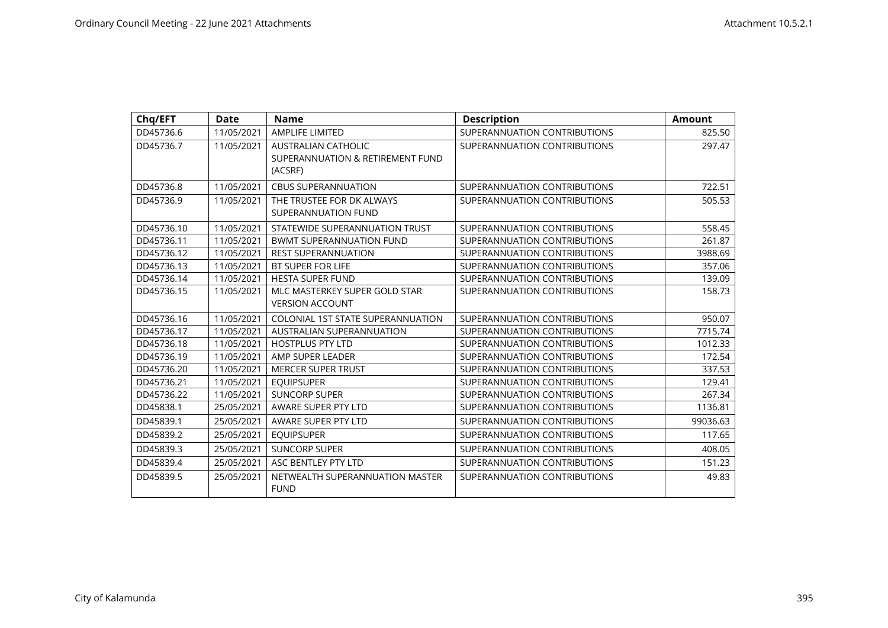| Chq/EFT    | <b>Date</b> | <b>Name</b>                                                               | <b>Description</b>           | <b>Amount</b> |
|------------|-------------|---------------------------------------------------------------------------|------------------------------|---------------|
| DD45736.6  | 11/05/2021  | <b>AMPLIFE LIMITED</b>                                                    | SUPERANNUATION CONTRIBUTIONS | 825.50        |
| DD45736.7  | 11/05/2021  | <b>AUSTRALIAN CATHOLIC</b><br>SUPERANNUATION & RETIREMENT FUND<br>(ACSRF) | SUPERANNUATION CONTRIBUTIONS | 297.47        |
| DD45736.8  | 11/05/2021  | <b>CBUS SUPERANNUATION</b>                                                | SUPERANNUATION CONTRIBUTIONS | 722.51        |
| DD45736.9  | 11/05/2021  | THE TRUSTEE FOR DK ALWAYS<br>SUPERANNUATION FUND                          | SUPERANNUATION CONTRIBUTIONS | 505.53        |
| DD45736.10 | 11/05/2021  | STATEWIDE SUPERANNUATION TRUST                                            | SUPERANNUATION CONTRIBUTIONS | 558.45        |
| DD45736.11 | 11/05/2021  | <b>BWMT SUPERANNUATION FUND</b>                                           | SUPERANNUATION CONTRIBUTIONS | 261.87        |
| DD45736.12 | 11/05/2021  | <b>REST SUPERANNUATION</b>                                                | SUPERANNUATION CONTRIBUTIONS | 3988.69       |
| DD45736.13 | 11/05/2021  | BT SUPER FOR LIFE                                                         | SUPERANNUATION CONTRIBUTIONS | 357.06        |
| DD45736.14 | 11/05/2021  | <b>HESTA SUPER FUND</b>                                                   | SUPERANNUATION CONTRIBUTIONS | 139.09        |
| DD45736.15 | 11/05/2021  | MLC MASTERKEY SUPER GOLD STAR<br><b>VERSION ACCOUNT</b>                   | SUPERANNUATION CONTRIBUTIONS | 158.73        |
| DD45736.16 | 11/05/2021  | COLONIAL 1ST STATE SUPERANNUATION                                         | SUPERANNUATION CONTRIBUTIONS | 950.07        |
| DD45736.17 | 11/05/2021  | <b>AUSTRALIAN SUPERANNUATION</b>                                          | SUPERANNUATION CONTRIBUTIONS | 7715.74       |
| DD45736.18 | 11/05/2021  | <b>HOSTPLUS PTY LTD</b>                                                   | SUPERANNUATION CONTRIBUTIONS | 1012.33       |
| DD45736.19 | 11/05/2021  | AMP SUPER LEADER                                                          | SUPERANNUATION CONTRIBUTIONS | 172.54        |
| DD45736.20 | 11/05/2021  | <b>MERCER SUPER TRUST</b>                                                 | SUPERANNUATION CONTRIBUTIONS | 337.53        |
| DD45736.21 | 11/05/2021  | <b>EQUIPSUPER</b>                                                         | SUPERANNUATION CONTRIBUTIONS | 129.41        |
| DD45736.22 | 11/05/2021  | <b>SUNCORP SUPER</b>                                                      | SUPERANNUATION CONTRIBUTIONS | 267.34        |
| DD45838.1  | 25/05/2021  | AWARE SUPER PTY LTD                                                       | SUPERANNUATION CONTRIBUTIONS | 1136.81       |
| DD45839.1  | 25/05/2021  | AWARE SUPER PTY LTD                                                       | SUPERANNUATION CONTRIBUTIONS | 99036.63      |
| DD45839.2  | 25/05/2021  | <b>EQUIPSUPER</b>                                                         | SUPERANNUATION CONTRIBUTIONS | 117.65        |
| DD45839.3  | 25/05/2021  | <b>SUNCORP SUPER</b>                                                      | SUPERANNUATION CONTRIBUTIONS | 408.05        |
| DD45839.4  | 25/05/2021  | ASC BENTLEY PTY LTD                                                       | SUPERANNUATION CONTRIBUTIONS | 151.23        |
| DD45839.5  | 25/05/2021  | NETWEALTH SUPERANNUATION MASTER<br><b>FUND</b>                            | SUPERANNUATION CONTRIBUTIONS | 49.83         |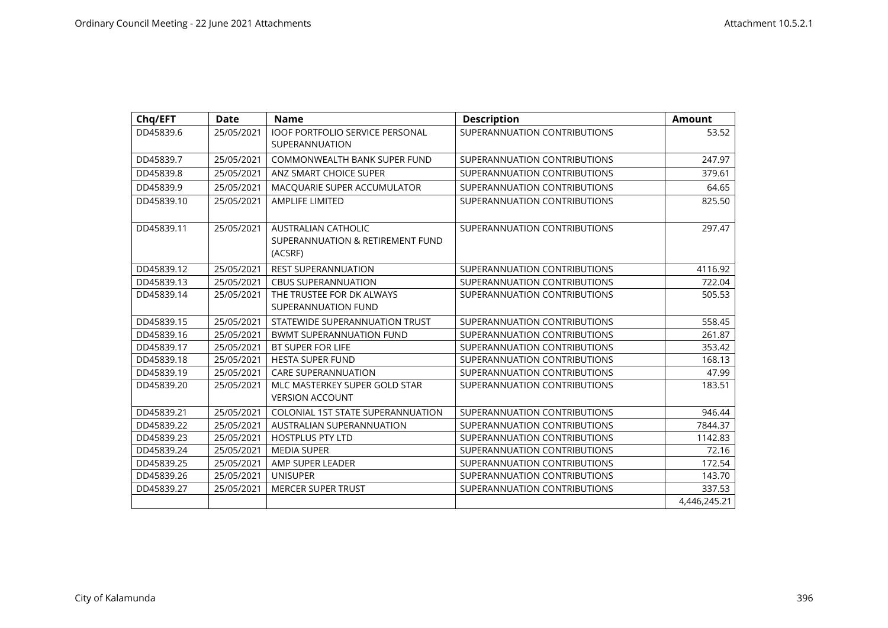| Chq/EFT    | <b>Date</b> | <b>Name</b>                                                               | <b>Description</b>           | <b>Amount</b> |
|------------|-------------|---------------------------------------------------------------------------|------------------------------|---------------|
| DD45839.6  | 25/05/2021  | <b>IOOF PORTFOLIO SERVICE PERSONAL</b><br>SUPERANNUATION                  | SUPERANNUATION CONTRIBUTIONS | 53.52         |
| DD45839.7  | 25/05/2021  | COMMONWEALTH BANK SUPER FUND                                              | SUPERANNUATION CONTRIBUTIONS | 247.97        |
| DD45839.8  | 25/05/2021  | ANZ SMART CHOICE SUPER                                                    | SUPERANNUATION CONTRIBUTIONS | 379.61        |
| DD45839.9  | 25/05/2021  | MACQUARIE SUPER ACCUMULATOR                                               | SUPERANNUATION CONTRIBUTIONS | 64.65         |
| DD45839.10 | 25/05/2021  | <b>AMPLIFE LIMITED</b>                                                    | SUPERANNUATION CONTRIBUTIONS | 825.50        |
| DD45839.11 | 25/05/2021  | <b>AUSTRALIAN CATHOLIC</b><br>SUPERANNUATION & RETIREMENT FUND<br>(ACSRF) | SUPERANNUATION CONTRIBUTIONS | 297.47        |
| DD45839.12 | 25/05/2021  | <b>REST SUPERANNUATION</b>                                                | SUPERANNUATION CONTRIBUTIONS | 4116.92       |
| DD45839.13 | 25/05/2021  | <b>CBUS SUPERANNUATION</b>                                                | SUPERANNUATION CONTRIBUTIONS | 722.04        |
| DD45839.14 | 25/05/2021  | THE TRUSTEE FOR DK ALWAYS<br>SUPERANNUATION FUND                          | SUPERANNUATION CONTRIBUTIONS | 505.53        |
| DD45839.15 | 25/05/2021  | STATEWIDE SUPERANNUATION TRUST                                            | SUPERANNUATION CONTRIBUTIONS | 558.45        |
| DD45839.16 | 25/05/2021  | <b>BWMT SUPERANNUATION FUND</b>                                           | SUPERANNUATION CONTRIBUTIONS | 261.87        |
| DD45839.17 | 25/05/2021  | <b>BT SUPER FOR LIFE</b>                                                  | SUPERANNUATION CONTRIBUTIONS | 353.42        |
| DD45839.18 | 25/05/2021  | <b>HESTA SUPER FUND</b>                                                   | SUPERANNUATION CONTRIBUTIONS | 168.13        |
| DD45839.19 | 25/05/2021  | <b>CARE SUPERANNUATION</b>                                                | SUPERANNUATION CONTRIBUTIONS | 47.99         |
| DD45839.20 | 25/05/2021  | MLC MASTERKEY SUPER GOLD STAR<br><b>VERSION ACCOUNT</b>                   | SUPERANNUATION CONTRIBUTIONS | 183.51        |
| DD45839.21 | 25/05/2021  | COLONIAL 1ST STATE SUPERANNUATION                                         | SUPERANNUATION CONTRIBUTIONS | 946.44        |
| DD45839.22 | 25/05/2021  | AUSTRALIAN SUPERANNUATION                                                 | SUPERANNUATION CONTRIBUTIONS | 7844.37       |
| DD45839.23 | 25/05/2021  | <b>HOSTPLUS PTY LTD</b>                                                   | SUPERANNUATION CONTRIBUTIONS | 1142.83       |
| DD45839.24 | 25/05/2021  | <b>MEDIA SUPER</b>                                                        | SUPERANNUATION CONTRIBUTIONS | 72.16         |
| DD45839.25 | 25/05/2021  | AMP SUPER LEADER                                                          | SUPERANNUATION CONTRIBUTIONS | 172.54        |
| DD45839.26 | 25/05/2021  | <b>UNISUPER</b>                                                           | SUPERANNUATION CONTRIBUTIONS | 143.70        |
| DD45839.27 | 25/05/2021  | <b>MERCER SUPER TRUST</b>                                                 | SUPERANNUATION CONTRIBUTIONS | 337.53        |
|            |             |                                                                           |                              | 4,446,245.21  |